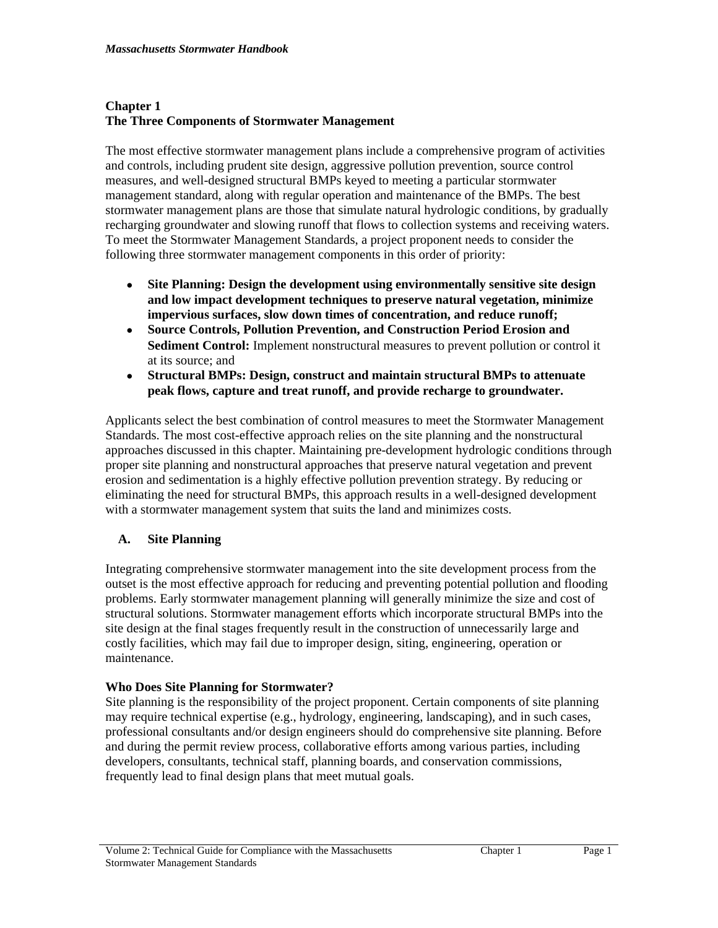# **Chapter 1 The Three Components of Stormwater Management**

The most effective stormwater management plans include a comprehensive program of activities and controls, including prudent site design, aggressive pollution prevention, source control measures, and well-designed structural BMPs keyed to meeting a particular stormwater management standard, along with regular operation and maintenance of the BMPs. The best stormwater management plans are those that simulate natural hydrologic conditions, by gradually recharging groundwater and slowing runoff that flows to collection systems and receiving waters. To meet the Stormwater Management Standards, a project proponent needs to consider the following three stormwater management components in this order of priority:

- **Site Planning: Design the development using environmentally sensitive site design and low impact development techniques to preserve natural vegetation, minimize impervious surfaces, slow down times of concentration, and reduce runoff;**
- **Source Controls, Pollution Prevention, and Construction Period Erosion and Sediment Control:** Implement nonstructural measures to prevent pollution or control it at its source; and
- **Structural BMPs: Design, construct and maintain structural BMPs to attenuate peak flows, capture and treat runoff, and provide recharge to groundwater.**

Applicants select the best combination of control measures to meet the Stormwater Management Standards. The most cost-effective approach relies on the site planning and the nonstructural approaches discussed in this chapter. Maintaining pre-development hydrologic conditions through proper site planning and nonstructural approaches that preserve natural vegetation and prevent erosion and sedimentation is a highly effective pollution prevention strategy. By reducing or eliminating the need for structural BMPs, this approach results in a well-designed development with a stormwater management system that suits the land and minimizes costs.

# **A. Site Planning**

Integrating comprehensive stormwater management into the site development process from the outset is the most effective approach for reducing and preventing potential pollution and flooding problems. Early stormwater management planning will generally minimize the size and cost of structural solutions. Stormwater management efforts which incorporate structural BMPs into the site design at the final stages frequently result in the construction of unnecessarily large and costly facilities, which may fail due to improper design, siting, engineering, operation or maintenance.

# **Who Does Site Planning for Stormwater?**

Site planning is the responsibility of the project proponent. Certain components of site planning may require technical expertise (e.g., hydrology, engineering, landscaping), and in such cases, professional consultants and/or design engineers should do comprehensive site planning. Before and during the permit review process, collaborative efforts among various parties, including developers, consultants, technical staff, planning boards, and conservation commissions, frequently lead to final design plans that meet mutual goals.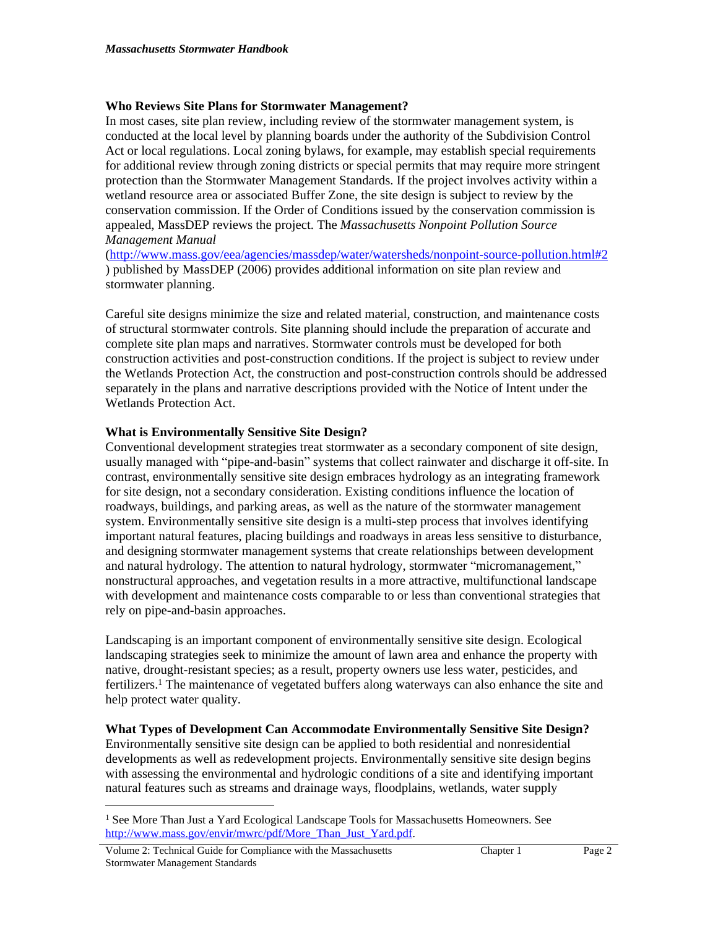# **Who Reviews Site Plans for Stormwater Management?**

In most cases, site plan review, including review of the stormwater management system, is conducted at the local level by planning boards under the authority of the Subdivision Control Act or local regulations. Local zoning bylaws, for example, may establish special requirements for additional review through zoning districts or special permits that may require more stringent protection than the Stormwater Management Standards. If the project involves activity within a wetland resource area or associated Buffer Zone, the site design is subject to review by the conservation commission. If the Order of Conditions issued by the conservation commission is appealed, MassDEP reviews the project. The *Massachusetts Nonpoint Pollution Source Management Manual* 

(<http://www.mass.gov/eea/agencies/massdep/water/watersheds/nonpoint-source-pollution.html#2> ) published by MassDEP (2006) provides additional information on site plan review and stormwater planning.

Careful site designs minimize the size and related material, construction, and maintenance costs of structural stormwater controls. Site planning should include the preparation of accurate and complete site plan maps and narratives. Stormwater controls must be developed for both construction activities and post-construction conditions. If the project is subject to review under the Wetlands Protection Act, the construction and post-construction controls should be addressed separately in the plans and narrative descriptions provided with the Notice of Intent under the Wetlands Protection Act.

# **What is Environmentally Sensitive Site Design?**

Conventional development strategies treat stormwater as a secondary component of site design, usually managed with "pipe-and-basin" systems that collect rainwater and discharge it off-site. In contrast, environmentally sensitive site design embraces hydrology as an integrating framework for site design, not a secondary consideration. Existing conditions influence the location of roadways, buildings, and parking areas, as well as the nature of the stormwater management system. Environmentally sensitive site design is a multi-step process that involves identifying important natural features, placing buildings and roadways in areas less sensitive to disturbance, and designing stormwater management systems that create relationships between development and natural hydrology. The attention to natural hydrology, stormwater "micromanagement," nonstructural approaches, and vegetation results in a more attractive, multifunctional landscape with development and maintenance costs comparable to or less than conventional strategies that rely on pipe-and-basin approaches.

Landscaping is an important component of environmentally sensitive site design. Ecological landscaping strategies seek to minimize the amount of lawn area and enhance the property with native, drought-resistant species; as a result, property owners use less water, pesticides, and fertilizers.<sup>1</sup> The maintenance of vegetated buffers along waterways can also enhance the site and help protect water quality.

### **What Types of Development Can Accommodate Environmentally Sensitive Site Design?**

Environmentally sensitive site design can be applied to both residential and nonresidential developments as well as redevelopment projects. Environmentally sensitive site design begins with assessing the environmental and hydrologic conditions of a site and identifying important natural features such as streams and drainage ways, floodplains, wetlands, water supply

<sup>1</sup> See More Than Just a Yard Ecological Landscape Tools for Massachusetts Homeowners. See [http://www.mass.gov/envir/mwrc/pdf/More\\_Than\\_Just\\_Yard.pdf.](http://www.mass.gov/envir/mwrc/pdf/More_Than_Just_Yard.pdf)

Volume 2: Technical Guide for Compliance with the Massachusetts Stormwater Management Standards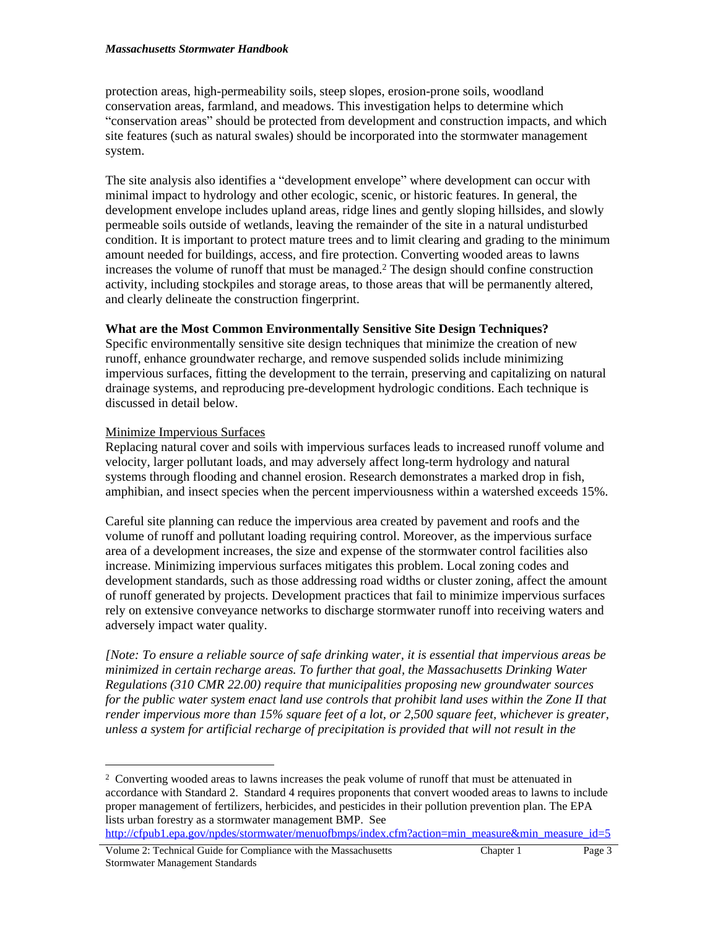#### *Massachusetts Stormwater Handbook*

protection areas, high-permeability soils, steep slopes, erosion-prone soils, woodland conservation areas, farmland, and meadows. This investigation helps to determine which "conservation areas" should be protected from development and construction impacts, and which site features (such as natural swales) should be incorporated into the stormwater management system.

The site analysis also identifies a "development envelope" where development can occur with minimal impact to hydrology and other ecologic, scenic, or historic features. In general, the development envelope includes upland areas, ridge lines and gently sloping hillsides, and slowly permeable soils outside of wetlands, leaving the remainder of the site in a natural undisturbed condition. It is important to protect mature trees and to limit clearing and grading to the minimum amount needed for buildings, access, and fire protection. Converting wooded areas to lawns increases the volume of runoff that must be managed.<sup>2</sup> The design should confine construction activity, including stockpiles and storage areas, to those areas that will be permanently altered, and clearly delineate the construction fingerprint.

## **What are the Most Common Environmentally Sensitive Site Design Techniques?**

Specific environmentally sensitive site design techniques that minimize the creation of new runoff, enhance groundwater recharge, and remove suspended solids include minimizing impervious surfaces, fitting the development to the terrain, preserving and capitalizing on natural drainage systems, and reproducing pre-development hydrologic conditions. Each technique is discussed in detail below.

## Minimize Impervious Surfaces

Replacing natural cover and soils with impervious surfaces leads to increased runoff volume and velocity, larger pollutant loads, and may adversely affect long-term hydrology and natural systems through flooding and channel erosion. Research demonstrates a marked drop in fish, amphibian, and insect species when the percent imperviousness within a watershed exceeds 15%.

Careful site planning can reduce the impervious area created by pavement and roofs and the volume of runoff and pollutant loading requiring control. Moreover, as the impervious surface area of a development increases, the size and expense of the stormwater control facilities also increase. Minimizing impervious surfaces mitigates this problem. Local zoning codes and development standards, such as those addressing road widths or cluster zoning, affect the amount of runoff generated by projects. Development practices that fail to minimize impervious surfaces rely on extensive conveyance networks to discharge stormwater runoff into receiving waters and adversely impact water quality.

*[Note: To ensure a reliable source of safe drinking water, it is essential that impervious areas be minimized in certain recharge areas. To further that goal, the Massachusetts Drinking Water Regulations (310 CMR 22.00) require that municipalities proposing new groundwater sources for the public water system enact land use controls that prohibit land uses within the Zone II that render impervious more than 15% square feet of a lot, or 2,500 square feet, whichever is greater, unless a system for artificial recharge of precipitation is provided that will not result in the* 

<sup>2</sup> Converting wooded areas to lawns increases the peak volume of runoff that must be attenuated in accordance with Standard 2. Standard 4 requires proponents that convert wooded areas to lawns to include proper management of fertilizers, herbicides, and pesticides in their pollution prevention plan. The EPA lists urban forestry as a stormwater management BMP. See

[http://cfpub1.epa.gov/npdes/stormwater/menuofbmps/index.cfm?action=min\\_measure&min\\_measure\\_id=5](http://cfpub1.epa.gov/npdes/stormwater/menuofbmps/index.cfm?action=min_measure&min_measure_id=5)

Volume 2: Technical Guide for Compliance with the Massachusetts Stormwater Management Standards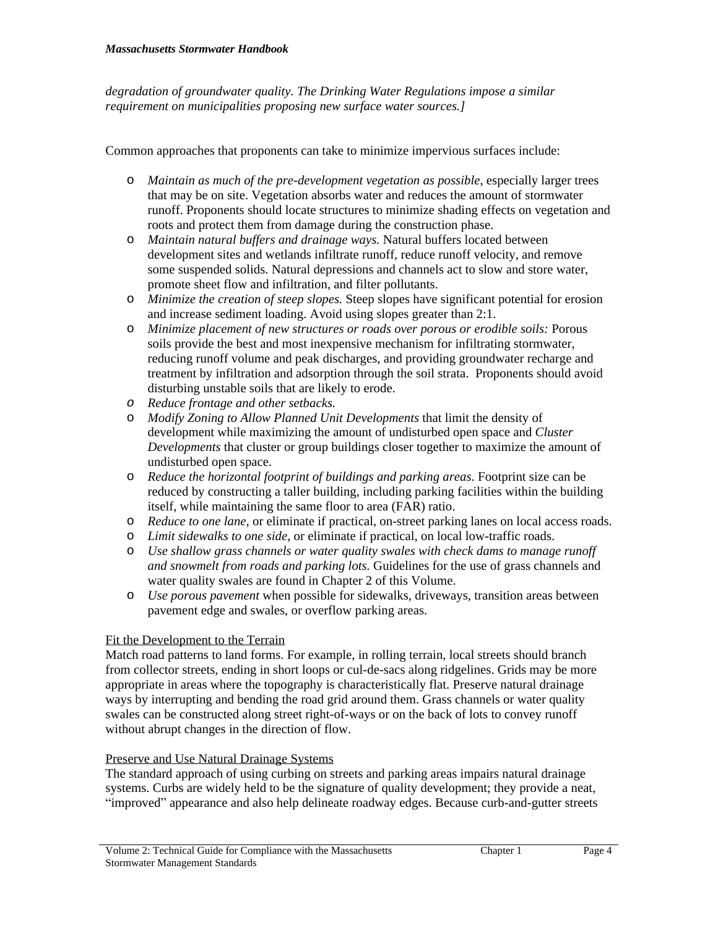*degradation of groundwater quality. The Drinking Water Regulations impose a similar requirement on municipalities proposing new surface water sources.]*

Common approaches that proponents can take to minimize impervious surfaces include:

- o *Maintain as much of the pre-development vegetation as possible*, especially larger trees that may be on site. Vegetation absorbs water and reduces the amount of stormwater runoff. Proponents should locate structures to minimize shading effects on vegetation and roots and protect them from damage during the construction phase.
- o *Maintain natural buffers and drainage ways.* Natural buffers located between development sites and wetlands infiltrate runoff, reduce runoff velocity, and remove some suspended solids. Natural depressions and channels act to slow and store water, promote sheet flow and infiltration, and filter pollutants.
- o *Minimize the creation of steep slopes.* Steep slopes have significant potential for erosion and increase sediment loading. Avoid using slopes greater than 2:1.
- o *Minimize placement of new structures or roads over porous or erodible soils:* Porous soils provide the best and most inexpensive mechanism for infiltrating stormwater, reducing runoff volume and peak discharges, and providing groundwater recharge and treatment by infiltration and adsorption through the soil strata. Proponents should avoid disturbing unstable soils that are likely to erode.
- *o Reduce frontage and other setbacks.*
- o *Modify Zoning to Allow Planned Unit Developments* that limit the density of development while maximizing the amount of undisturbed open space and *Cluster Developments* that cluster or group buildings closer together to maximize the amount of undisturbed open space.
- o *Reduce the horizontal footprint of buildings and parking areas.* Footprint size can be reduced by constructing a taller building, including parking facilities within the building itself, while maintaining the same floor to area (FAR) ratio.
- o *Reduce to one lane,* or eliminate if practical, on-street parking lanes on local access roads.
- o *Limit sidewalks to one side*, or eliminate if practical, on local low-traffic roads.
- o *Use shallow grass channels or water quality swales with check dams to manage runoff and snowmelt from roads and parking lots.* Guidelines for the use of grass channels and water quality swales are found in Chapter 2 of this Volume.
- o *Use porous pavement* when possible for sidewalks, driveways, transition areas between pavement edge and swales, or overflow parking areas.

# Fit the Development to the Terrain

Match road patterns to land forms. For example, in rolling terrain, local streets should branch from collector streets, ending in short loops or cul-de-sacs along ridgelines. Grids may be more appropriate in areas where the topography is characteristically flat. Preserve natural drainage ways by interrupting and bending the road grid around them. Grass channels or water quality swales can be constructed along street right-of-ways or on the back of lots to convey runoff without abrupt changes in the direction of flow.

### Preserve and Use Natural Drainage Systems

The standard approach of using curbing on streets and parking areas impairs natural drainage systems. Curbs are widely held to be the signature of quality development; they provide a neat, "improved" appearance and also help delineate roadway edges. Because curb-and-gutter streets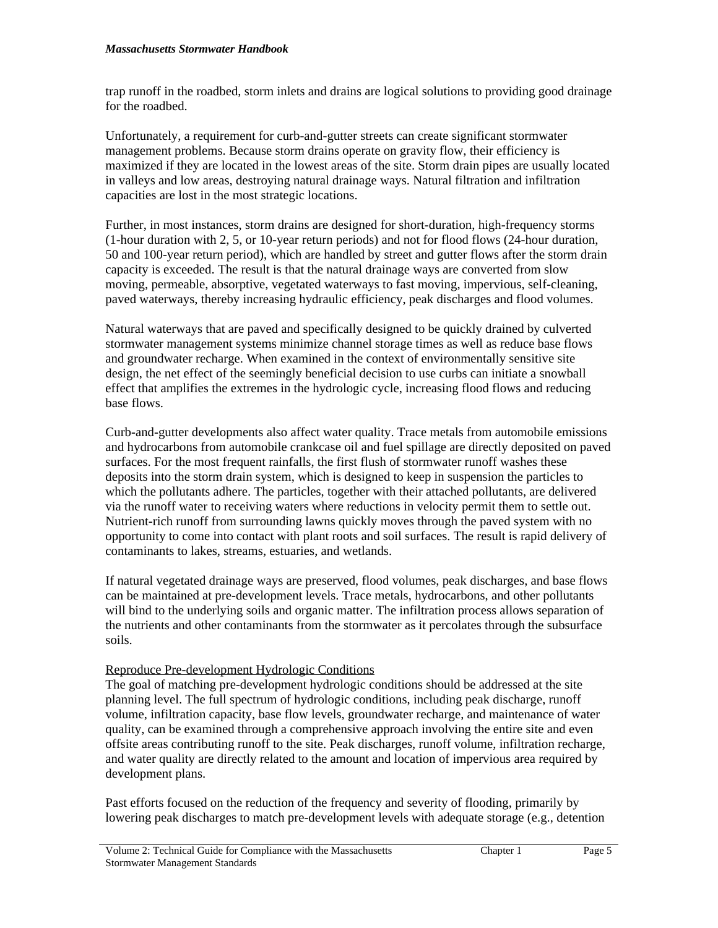trap runoff in the roadbed, storm inlets and drains are logical solutions to providing good drainage for the roadbed.

Unfortunately, a requirement for curb-and-gutter streets can create significant stormwater management problems. Because storm drains operate on gravity flow, their efficiency is maximized if they are located in the lowest areas of the site. Storm drain pipes are usually located in valleys and low areas, destroying natural drainage ways. Natural filtration and infiltration capacities are lost in the most strategic locations.

Further, in most instances, storm drains are designed for short-duration, high-frequency storms (1-hour duration with 2, 5, or 10-year return periods) and not for flood flows (24-hour duration, 50 and 100-year return period), which are handled by street and gutter flows after the storm drain capacity is exceeded. The result is that the natural drainage ways are converted from slow moving, permeable, absorptive, vegetated waterways to fast moving, impervious, self-cleaning, paved waterways, thereby increasing hydraulic efficiency, peak discharges and flood volumes.

Natural waterways that are paved and specifically designed to be quickly drained by culverted stormwater management systems minimize channel storage times as well as reduce base flows and groundwater recharge. When examined in the context of environmentally sensitive site design, the net effect of the seemingly beneficial decision to use curbs can initiate a snowball effect that amplifies the extremes in the hydrologic cycle, increasing flood flows and reducing base flows.

Curb-and-gutter developments also affect water quality. Trace metals from automobile emissions and hydrocarbons from automobile crankcase oil and fuel spillage are directly deposited on paved surfaces. For the most frequent rainfalls, the first flush of stormwater runoff washes these deposits into the storm drain system, which is designed to keep in suspension the particles to which the pollutants adhere. The particles, together with their attached pollutants, are delivered via the runoff water to receiving waters where reductions in velocity permit them to settle out. Nutrient-rich runoff from surrounding lawns quickly moves through the paved system with no opportunity to come into contact with plant roots and soil surfaces. The result is rapid delivery of contaminants to lakes, streams, estuaries, and wetlands.

If natural vegetated drainage ways are preserved, flood volumes, peak discharges, and base flows can be maintained at pre-development levels. Trace metals, hydrocarbons, and other pollutants will bind to the underlying soils and organic matter. The infiltration process allows separation of the nutrients and other contaminants from the stormwater as it percolates through the subsurface soils.

# Reproduce Pre-development Hydrologic Conditions

The goal of matching pre-development hydrologic conditions should be addressed at the site planning level. The full spectrum of hydrologic conditions, including peak discharge, runoff volume, infiltration capacity, base flow levels, groundwater recharge, and maintenance of water quality, can be examined through a comprehensive approach involving the entire site and even offsite areas contributing runoff to the site. Peak discharges, runoff volume, infiltration recharge, and water quality are directly related to the amount and location of impervious area required by development plans.

Past efforts focused on the reduction of the frequency and severity of flooding, primarily by lowering peak discharges to match pre-development levels with adequate storage (e.g., detention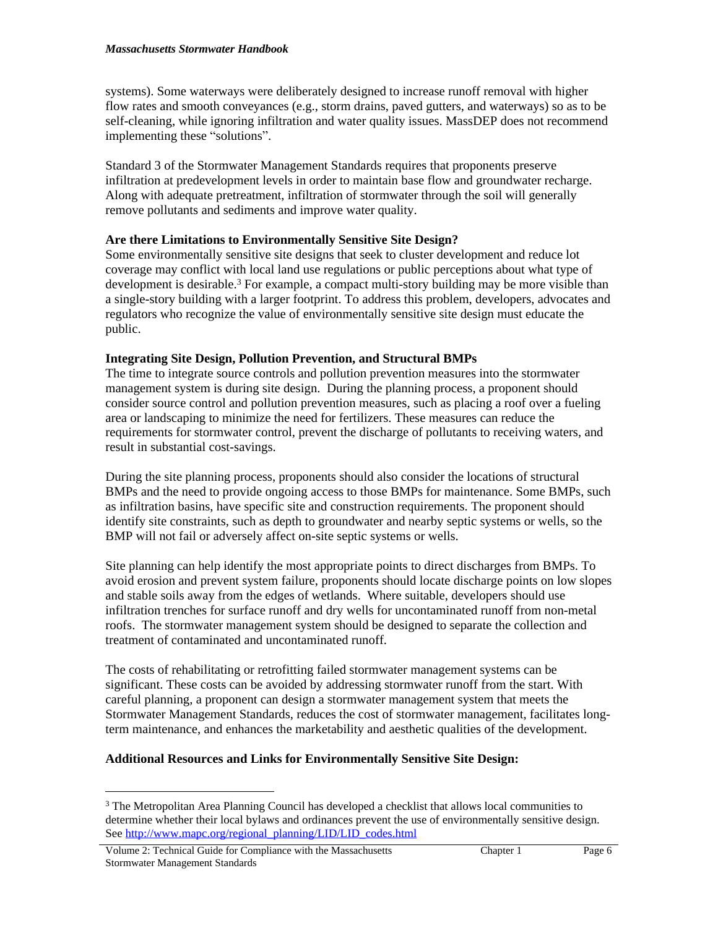systems). Some waterways were deliberately designed to increase runoff removal with higher flow rates and smooth conveyances (e.g., storm drains, paved gutters, and waterways) so as to be self-cleaning, while ignoring infiltration and water quality issues. MassDEP does not recommend implementing these "solutions".

Standard 3 of the Stormwater Management Standards requires that proponents preserve infiltration at predevelopment levels in order to maintain base flow and groundwater recharge. Along with adequate pretreatment, infiltration of stormwater through the soil will generally remove pollutants and sediments and improve water quality.

## **Are there Limitations to Environmentally Sensitive Site Design?**

Some environmentally sensitive site designs that seek to cluster development and reduce lot coverage may conflict with local land use regulations or public perceptions about what type of development is desirable.<sup>3</sup> For example, a compact multi-story building may be more visible than a single-story building with a larger footprint. To address this problem, developers, advocates and regulators who recognize the value of environmentally sensitive site design must educate the public.

## **Integrating Site Design, Pollution Prevention, and Structural BMPs**

The time to integrate source controls and pollution prevention measures into the stormwater management system is during site design. During the planning process, a proponent should consider source control and pollution prevention measures, such as placing a roof over a fueling area or landscaping to minimize the need for fertilizers. These measures can reduce the requirements for stormwater control, prevent the discharge of pollutants to receiving waters, and result in substantial cost-savings.

During the site planning process, proponents should also consider the locations of structural BMPs and the need to provide ongoing access to those BMPs for maintenance. Some BMPs, such as infiltration basins, have specific site and construction requirements. The proponent should identify site constraints, such as depth to groundwater and nearby septic systems or wells, so the BMP will not fail or adversely affect on-site septic systems or wells.

Site planning can help identify the most appropriate points to direct discharges from BMPs. To avoid erosion and prevent system failure, proponents should locate discharge points on low slopes and stable soils away from the edges of wetlands. Where suitable, developers should use infiltration trenches for surface runoff and dry wells for uncontaminated runoff from non-metal roofs. The stormwater management system should be designed to separate the collection and treatment of contaminated and uncontaminated runoff.

The costs of rehabilitating or retrofitting failed stormwater management systems can be significant. These costs can be avoided by addressing stormwater runoff from the start. With careful planning, a proponent can design a stormwater management system that meets the Stormwater Management Standards, reduces the cost of stormwater management, facilitates longterm maintenance, and enhances the marketability and aesthetic qualities of the development.

# **Additional Resources and Links for Environmentally Sensitive Site Design:**

<sup>&</sup>lt;sup>3</sup> The Metropolitan Area Planning Council has developed a checklist that allows local communities to determine whether their local bylaws and ordinances prevent the use of environmentally sensitive design. See [http://www.mapc.org/regional\\_planning/LID/LID\\_codes.html](http://www.mapc.org/regional_planning/LID/LID_codes.html)

Volume 2: Technical Guide for Compliance with the Massachusetts Stormwater Management Standards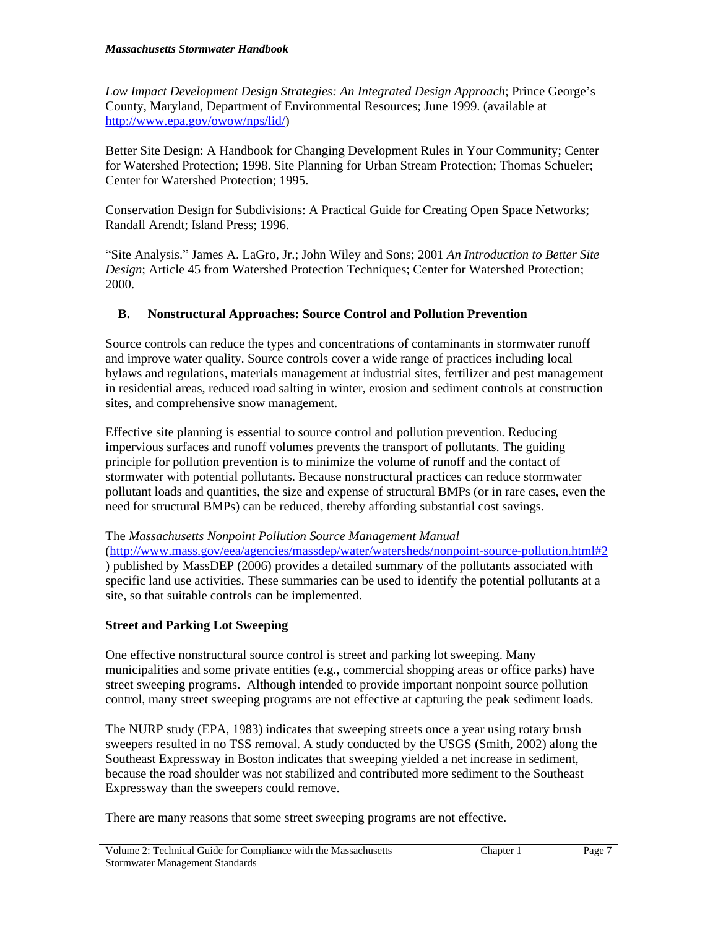*Low Impact Development Design Strategies: An Integrated Design Approach*; Prince George's County, Maryland, Department of Environmental Resources; June 1999. (available at <http://www.epa.gov/owow/nps/lid/>)

Better Site Design: A Handbook for Changing Development Rules in Your Community; Center for Watershed Protection; 1998. Site Planning for Urban Stream Protection; Thomas Schueler; Center for Watershed Protection; 1995.

Conservation Design for Subdivisions: A Practical Guide for Creating Open Space Networks; Randall Arendt; Island Press; 1996.

"Site Analysis." James A. LaGro, Jr.; John Wiley and Sons; 2001 *An Introduction to Better Site Design*; Article 45 from Watershed Protection Techniques; Center for Watershed Protection; 2000.

# **B. Nonstructural Approaches: Source Control and Pollution Prevention**

Source controls can reduce the types and concentrations of contaminants in stormwater runoff and improve water quality. Source controls cover a wide range of practices including local bylaws and regulations, materials management at industrial sites, fertilizer and pest management in residential areas, reduced road salting in winter, erosion and sediment controls at construction sites, and comprehensive snow management.

Effective site planning is essential to source control and pollution prevention. Reducing impervious surfaces and runoff volumes prevents the transport of pollutants. The guiding principle for pollution prevention is to minimize the volume of runoff and the contact of stormwater with potential pollutants. Because nonstructural practices can reduce stormwater pollutant loads and quantities, the size and expense of structural BMPs (or in rare cases, even the need for structural BMPs) can be reduced, thereby affording substantial cost savings.

### The *Massachusetts Nonpoint Pollution Source Management Manual*

(<http://www.mass.gov/eea/agencies/massdep/water/watersheds/nonpoint-source-pollution.html#2> ) published by MassDEP (2006) provides a detailed summary of the pollutants associated with specific land use activities. These summaries can be used to identify the potential pollutants at a site, so that suitable controls can be implemented.

# **Street and Parking Lot Sweeping**

One effective nonstructural source control is street and parking lot sweeping. Many municipalities and some private entities (e.g., commercial shopping areas or office parks) have street sweeping programs. Although intended to provide important nonpoint source pollution control, many street sweeping programs are not effective at capturing the peak sediment loads.

The NURP study (EPA, 1983) indicates that sweeping streets once a year using rotary brush sweepers resulted in no TSS removal. A study conducted by the USGS (Smith, 2002) along the Southeast Expressway in Boston indicates that sweeping yielded a net increase in sediment, because the road shoulder was not stabilized and contributed more sediment to the Southeast Expressway than the sweepers could remove.

There are many reasons that some street sweeping programs are not effective.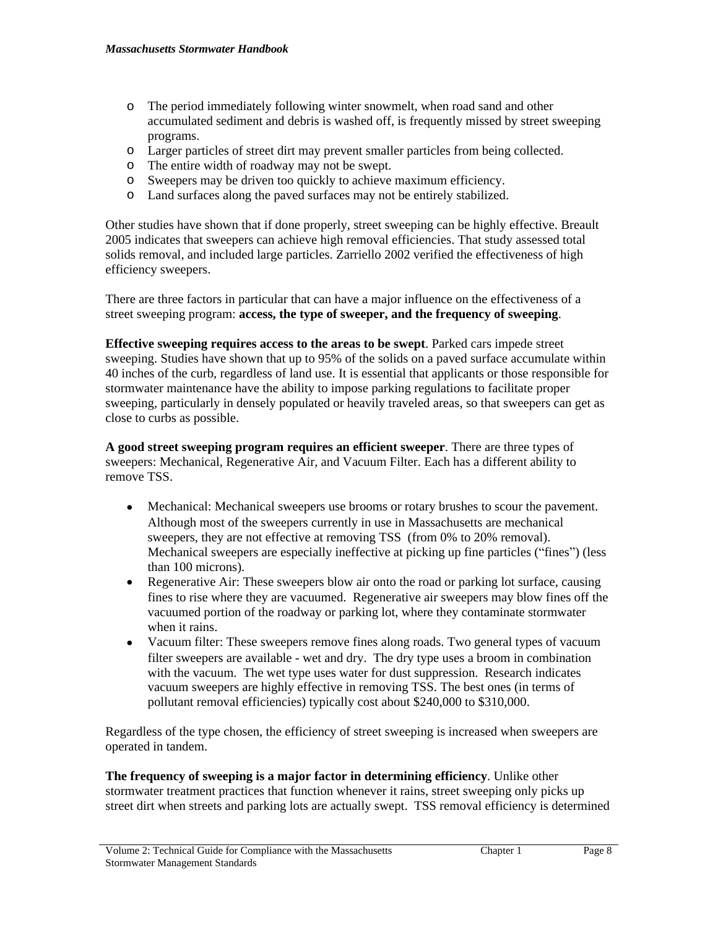- o The period immediately following winter snowmelt, when road sand and other accumulated sediment and debris is washed off, is frequently missed by street sweeping programs.
- o Larger particles of street dirt may prevent smaller particles from being collected.
- o The entire width of roadway may not be swept.
- o Sweepers may be driven too quickly to achieve maximum efficiency.
- o Land surfaces along the paved surfaces may not be entirely stabilized.

Other studies have shown that if done properly, street sweeping can be highly effective. Breault 2005 indicates that sweepers can achieve high removal efficiencies. That study assessed total solids removal, and included large particles. Zarriello 2002 verified the effectiveness of high efficiency sweepers.

There are three factors in particular that can have a major influence on the effectiveness of a street sweeping program: **access, the type of sweeper, and the frequency of sweeping**.

**Effective sweeping requires access to the areas to be swept**. Parked cars impede street sweeping. Studies have shown that up to 95% of the solids on a paved surface accumulate within 40 inches of the curb, regardless of land use. It is essential that applicants or those responsible for stormwater maintenance have the ability to impose parking regulations to facilitate proper sweeping, particularly in densely populated or heavily traveled areas, so that sweepers can get as close to curbs as possible.

**A good street sweeping program requires an efficient sweeper**. There are three types of sweepers: Mechanical, Regenerative Air, and Vacuum Filter. Each has a different ability to remove TSS.

- Mechanical: Mechanical sweepers use brooms or rotary brushes to scour the pavement. Although most of the sweepers currently in use in Massachusetts are mechanical sweepers, they are not effective at removing TSS (from 0% to 20% removal). Mechanical sweepers are especially ineffective at picking up fine particles ("fines") (less than 100 microns).
- Regenerative Air: These sweepers blow air onto the road or parking lot surface, causing fines to rise where they are vacuumed. Regenerative air sweepers may blow fines off the vacuumed portion of the roadway or parking lot, where they contaminate stormwater when it rains.
- Vacuum filter: These sweepers remove fines along roads. Two general types of vacuum filter sweepers are available - wet and dry. The dry type uses a broom in combination with the vacuum. The wet type uses water for dust suppression. Research indicates vacuum sweepers are highly effective in removing TSS. The best ones (in terms of pollutant removal efficiencies) typically cost about \$240,000 to \$310,000.

Regardless of the type chosen, the efficiency of street sweeping is increased when sweepers are operated in tandem.

**The frequency of sweeping is a major factor in determining efficiency**. Unlike other stormwater treatment practices that function whenever it rains, street sweeping only picks up street dirt when streets and parking lots are actually swept. TSS removal efficiency is determined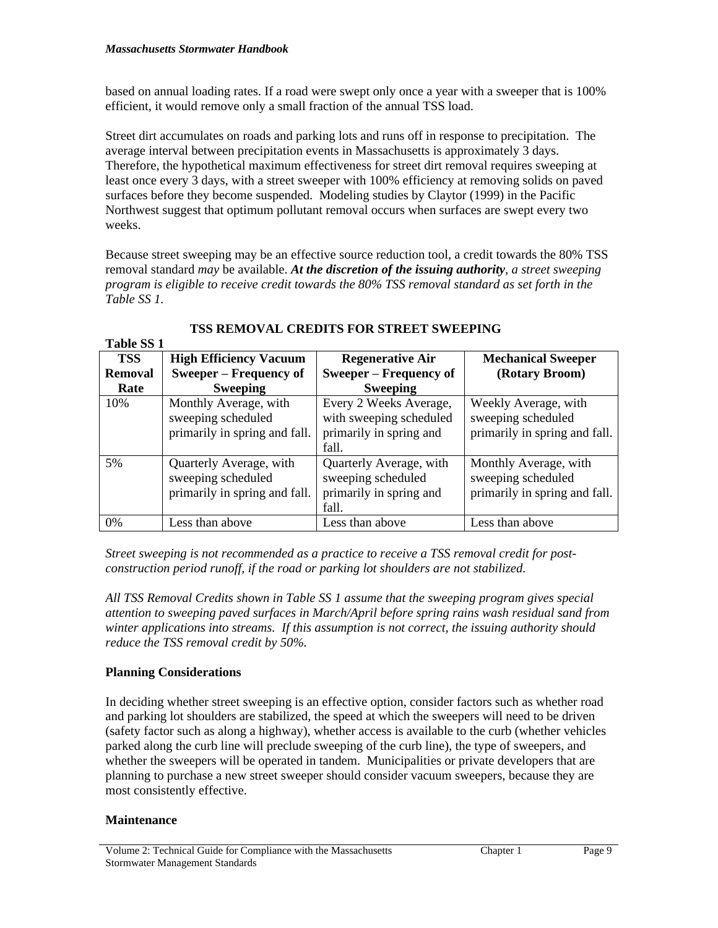based on annual loading rates. If a road were swept only once a year with a sweeper that is 100% efficient, it would remove only a small fraction of the annual TSS load.

Street dirt accumulates on roads and parking lots and runs off in response to precipitation. The average interval between precipitation events in Massachusetts is approximately 3 days. Therefore, the hypothetical maximum effectiveness for street dirt removal requires sweeping at least once every 3 days, with a street sweeper with 100% efficiency at removing solids on paved surfaces before they become suspended. Modeling studies by Claytor (1999) in the Pacific Northwest suggest that optimum pollutant removal occurs when surfaces are swept every two weeks.

Because street sweeping may be an effective source reduction tool, a credit towards the 80% TSS removal standard *may* be available. *At the discretion of the issuing authority, a street sweeping program is eligible to receive credit towards the 80% TSS removal standard as set forth in the Table SS 1.* 

| <b>TSS</b>     | <b>High Efficiency Vacuum</b>                                                  | <b>Regenerative Air</b>                                                               | <b>Mechanical Sweeper</b>                                                    |
|----------------|--------------------------------------------------------------------------------|---------------------------------------------------------------------------------------|------------------------------------------------------------------------------|
| <b>Removal</b> | <b>Sweeper – Frequency of</b>                                                  | <b>Sweeper – Frequency of</b>                                                         | (Rotary Broom)                                                               |
| Rate           | <b>Sweeping</b>                                                                | <b>Sweeping</b>                                                                       |                                                                              |
| 10%            | Monthly Average, with<br>sweeping scheduled<br>primarily in spring and fall.   | Every 2 Weeks Average,<br>with sweeping scheduled<br>primarily in spring and<br>fall. | Weekly Average, with<br>sweeping scheduled<br>primarily in spring and fall.  |
| 5%             | Quarterly Average, with<br>sweeping scheduled<br>primarily in spring and fall. | Quarterly Average, with<br>sweeping scheduled<br>primarily in spring and<br>fall.     | Monthly Average, with<br>sweeping scheduled<br>primarily in spring and fall. |
| 0%             | Less than above                                                                | Less than above                                                                       | Less than above                                                              |

# **TSS REMOVAL CREDITS FOR STREET SWEEPING**

*Street sweeping is not recommended as a practice to receive a TSS removal credit for postconstruction period runoff, if the road or parking lot shoulders are not stabilized.* 

*All TSS Removal Credits shown in Table SS 1 assume that the sweeping program gives special attention to sweeping paved surfaces in March/April before spring rains wash residual sand from winter applications into streams. If this assumption is not correct, the issuing authority should reduce the TSS removal credit by 50%.* 

# **Planning Considerations**

In deciding whether street sweeping is an effective option, consider factors such as whether road and parking lot shoulders are stabilized, the speed at which the sweepers will need to be driven (safety factor such as along a highway), whether access is available to the curb (whether vehicles parked along the curb line will preclude sweeping of the curb line), the type of sweepers, and whether the sweepers will be operated in tandem. Municipalities or private developers that are planning to purchase a new street sweeper should consider vacuum sweepers, because they are most consistently effective.

# **Maintenance**

**Table SS 1**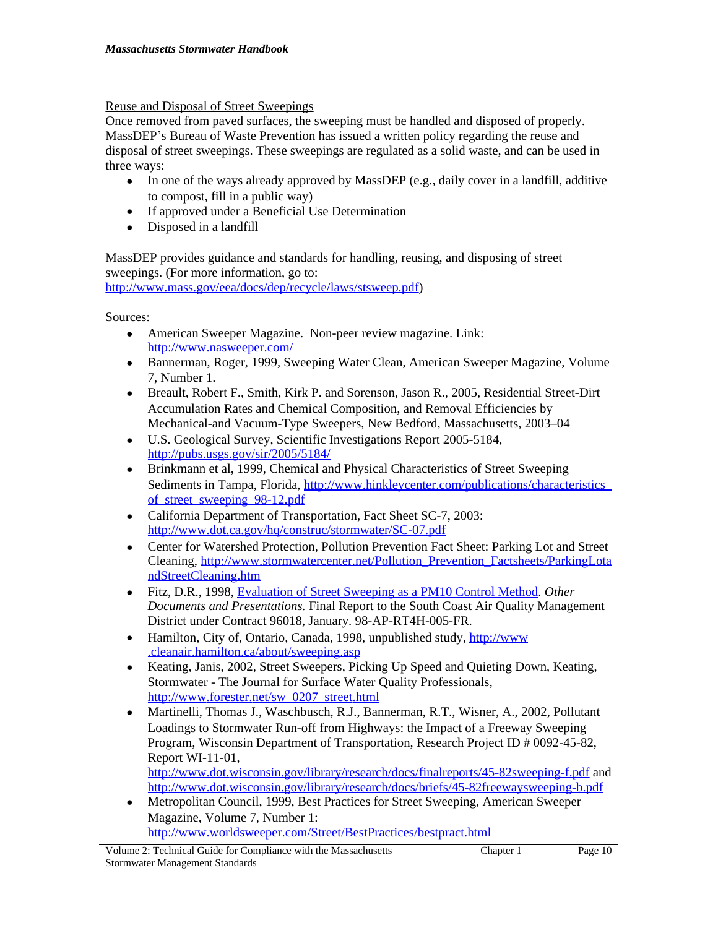Reuse and Disposal of Street Sweepings

Once removed from paved surfaces, the sweeping must be handled and disposed of properly. MassDEP's Bureau of Waste Prevention has issued a written policy regarding the reuse and disposal of street sweepings. These sweepings are regulated as a solid waste, and can be used in three ways:

- In one of the ways already approved by MassDEP (e.g., daily cover in a landfill, additive to compost, fill in a public way)
- If approved under a Beneficial Use Determination
- Disposed in a landfill

MassDEP provides guidance and standards for handling, reusing, and disposing of street sweepings. (For more information, go to: <http://www.mass.gov/eea/docs/dep/recycle/laws/stsweep.pdf>)

Sources:

- American Sweeper Magazine. Non-peer review magazine. Link: [http://www.nasweeper.com/](http://www.americansweeper.com/)
- Bannerman, Roger, 1999, Sweeping Water Clean, American Sweeper Magazine, Volume 7, Number 1.
- Breault, Robert F., Smith, Kirk P. and Sorenson, Jason R., 2005, Residential Street-Dirt Accumulation Rates and Chemical Composition, and Removal Efficiencies by Mechanical-and Vacuum-Type Sweepers, New Bedford, Massachusetts, 2003–04
- U.S. Geological Survey, Scientific Investigations Report 2005-5184, <http://pubs.usgs.gov/sir/2005/5184/>
- Brinkmann et al, 1999, Chemical and Physical Characteristics of Street Sweeping Sediments in Tampa, Florida, [http://www.hinkleycenter.com/publications/characteristics\\_](http://www.hinkleycenter.com/publications/characteristics_of_street_sweeping_98-12.pdf) of\_street\_sweeping\_98-12.pdf
- California Department of Transportation, Fact Sheet SC-7, 2003: <http://www.dot.ca.gov/hq/construc/stormwater/SC-07.pdf>
- Center for Watershed Protection, Pollution Prevention Fact Sheet: Parking Lot and Street Cleaning, [http://www.stormwatercenter.net/Pollution\\_Prevention\\_Factsheets/ParkingLota](http://www.stormwatercenter.net/Pollution_Prevention_Factsheets/ParkingLotandStreetCleaning.htm) ndStreetCleaning.htm
- Fitz, D.R., 1998, [Evaluation of Street Sweeping as a PM10 Control Method](http://www.cert.ucr.edu/research/pubs/98-ap-rt4h-005-fr.pdf). *Other Documents and Presentations.* Final Report to the South Coast Air Quality Management District under Contract 96018, January. 98-AP-RT4H-005-FR.
- Hamilton, City of, Ontario, Canada, 1998, unpublished study, [http://www](http://www.cleanair.hamilton.ca/about/sweeping.asp). [.cleanair.hamilton.ca/about/sweeping.asp](http://www.cleanair.hamilton.ca/about/sweeping.asp)
- Keating, Janis, 2002, Street Sweepers, Picking Up Speed and Quieting Down, Keating, Stormwater - The Journal for Surface Water Quality Professionals, [http://www.forester.net/sw\\_0207\\_street.html](http://www.forester.net/sw_0207_street.html)
- Martinelli, Thomas J., Waschbusch, R.J., Bannerman, R.T., Wisner, A., 2002, Pollutant Loadings to Stormwater Run-off from Highways: the Impact of a Freeway Sweeping Program, Wisconsin Department of Transportation, Research Project ID # 0092-45-82, Report WI-11-01,

<http://www.dot.wisconsin.gov/library/research/docs/finalreports/45-82sweeping-f.pdf>and <http://www.dot.wisconsin.gov/library/research/docs/briefs/45-82freewaysweeping-b.pdf>

 Metropolitan Council, 1999, Best Practices for Street Sweeping, American Sweeper Magazine, Volume 7, Number 1: <http://www.worldsweeper.com/Street/BestPractices/bestpract.html>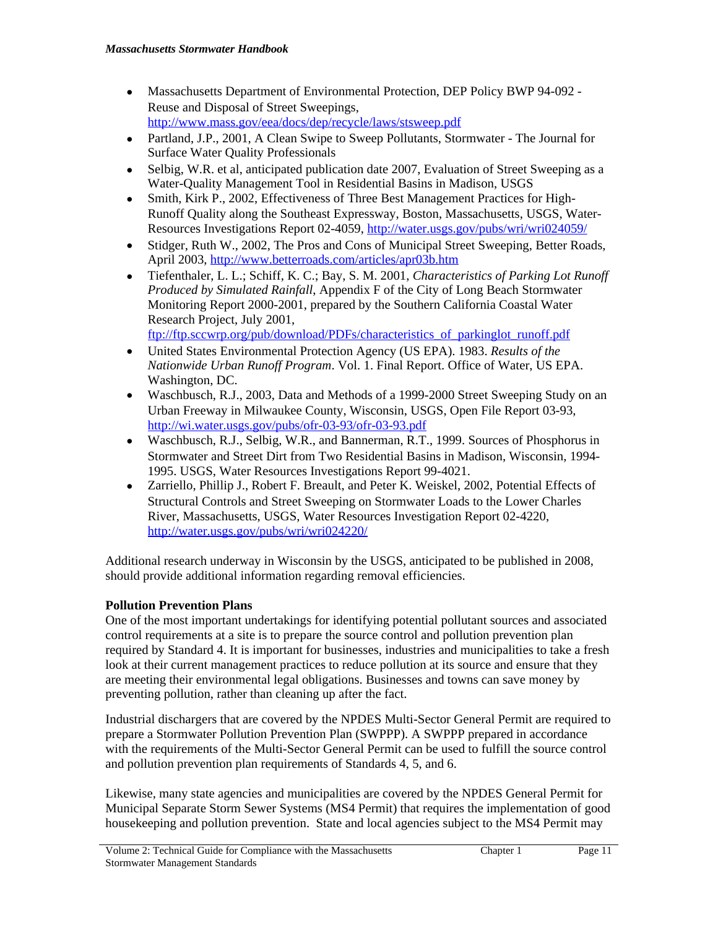- Massachusetts Department of Environmental Protection, DEP Policy BWP 94-092 Reuse and Disposal of Street Sweepings, <http://www.mass.gov/eea/docs/dep/recycle/laws/stsweep.pdf>
- Partland, J.P., 2001, A Clean Swipe to Sweep Pollutants, Stormwater The Journal for Surface Water Quality Professionals
- Selbig, W.R. et al, anticipated publication date 2007, Evaluation of Street Sweeping as a Water-Quality Management Tool in Residential Basins in Madison, USGS
- Smith, Kirk P., 2002, Effectiveness of Three Best Management Practices for High-Runoff Quality along the Southeast Expressway, Boston, Massachusetts, USGS, Water-Resources Investigations Report 02-4059,<http://water.usgs.gov/pubs/wri/wri024059/>
- Stidger, Ruth W., 2002, The Pros and Cons of Municipal Street Sweeping, Better Roads, April 2003,<http://www.betterroads.com/articles/apr03b.htm>
- Tiefenthaler, L. L.; Schiff, K. C.; Bay, S. M. 2001, *Characteristics of Parking Lot Runoff Produced by Simulated Rainfall*, Appendix F of the City of Long Beach Stormwater Monitoring Report 2000-2001, prepared by the Southern California Coastal Water Research Project, July 2001,

[ftp://ftp.sccwrp.org/pub/download/PDFs/characteristics\\_of\\_parkinglot\\_runoff.pdf](ftp://ftp.sccwrp.org/pub/download/PDFs/characteristics_of_parkinglot_runoff.pdf)

- United States Environmental Protection Agency (US EPA). 1983. *Results of the Nationwide Urban Runoff Program*. Vol. 1. Final Report. Office of Water, US EPA. Washington, DC.
- Waschbusch, R.J., 2003, Data and Methods of a 1999-2000 Street Sweeping Study on an Urban Freeway in Milwaukee County, Wisconsin, USGS, Open File Report 03-93, <http://wi.water.usgs.gov/pubs/ofr-03-93/ofr-03-93.pdf>
- Waschbusch, R.J., Selbig, W.R., and Bannerman, R.T., 1999. Sources of Phosphorus in Stormwater and Street Dirt from Two Residential Basins in Madison, Wisconsin, 1994- 1995. USGS, Water Resources Investigations Report 99-4021.
- Zarriello, Phillip J., Robert F. Breault, and Peter K. Weiskel, 2002, Potential Effects of Structural Controls and Street Sweeping on Stormwater Loads to the Lower Charles River, Massachusetts, USGS, Water Resources Investigation Report 02-4220, <http://water.usgs.gov/pubs/wri/wri024220/>

Additional research underway in Wisconsin by the USGS, anticipated to be published in 2008, should provide additional information regarding removal efficiencies.

# **Pollution Prevention Plans**

One of the most important undertakings for identifying potential pollutant sources and associated control requirements at a site is to prepare the source control and pollution prevention plan required by Standard 4. It is important for businesses, industries and municipalities to take a fresh look at their current management practices to reduce pollution at its source and ensure that they are meeting their environmental legal obligations. Businesses and towns can save money by preventing pollution, rather than cleaning up after the fact.

Industrial dischargers that are covered by the NPDES Multi-Sector General Permit are required to prepare a Stormwater Pollution Prevention Plan (SWPPP). A SWPPP prepared in accordance with the requirements of the Multi-Sector General Permit can be used to fulfill the source control and pollution prevention plan requirements of Standards 4, 5, and 6.

Likewise, many state agencies and municipalities are covered by the NPDES General Permit for Municipal Separate Storm Sewer Systems (MS4 Permit) that requires the implementation of good housekeeping and pollution prevention. State and local agencies subject to the MS4 Permit may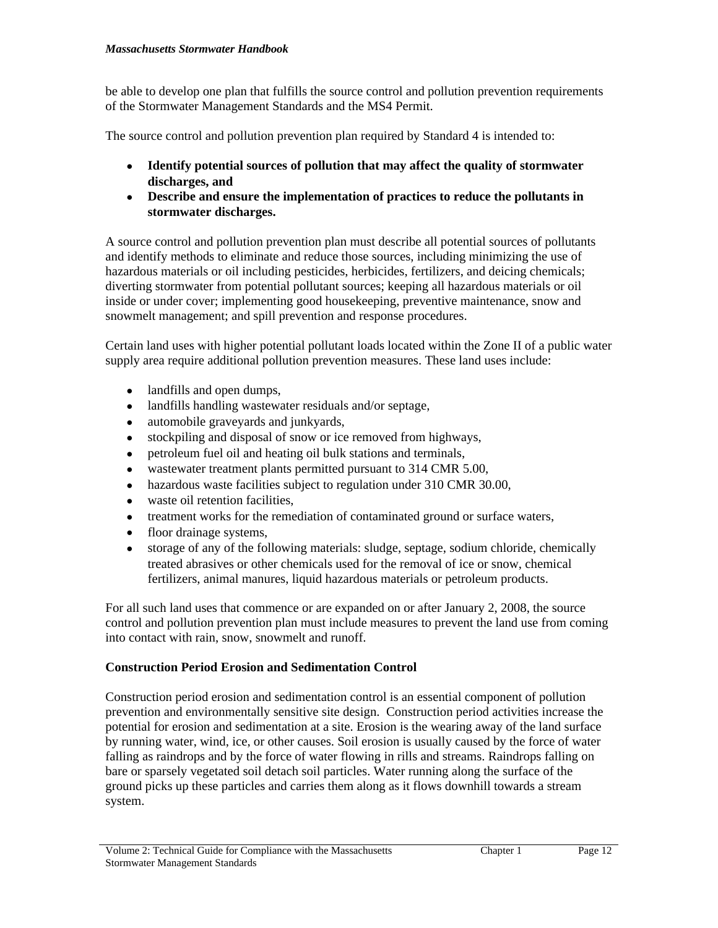#### *Massachusetts Stormwater Handbook*

be able to develop one plan that fulfills the source control and pollution prevention requirements of the Stormwater Management Standards and the MS4 Permit.

The source control and pollution prevention plan required by Standard 4 is intended to:

- **Identify potential sources of pollution that may affect the quality of stormwater discharges, and**
- **Describe and ensure the implementation of practices to reduce the pollutants in stormwater discharges.**

A source control and pollution prevention plan must describe all potential sources of pollutants and identify methods to eliminate and reduce those sources, including minimizing the use of hazardous materials or oil including pesticides, herbicides, fertilizers, and deicing chemicals; diverting stormwater from potential pollutant sources; keeping all hazardous materials or oil inside or under cover; implementing good housekeeping, preventive maintenance, snow and snowmelt management; and spill prevention and response procedures.

Certain land uses with higher potential pollutant loads located within the Zone II of a public water supply area require additional pollution prevention measures. These land uses include:

- landfills and open dumps,
- landfills handling wastewater residuals and/or septage,
- automobile graveyards and junkyards,
- stockpiling and disposal of snow or ice removed from highways,
- petroleum fuel oil and heating oil bulk stations and terminals,
- wastewater treatment plants permitted pursuant to 314 CMR 5.00,
- hazardous waste facilities subject to regulation under 310 CMR 30.00,
- waste oil retention facilities,
- treatment works for the remediation of contaminated ground or surface waters,
- floor drainage systems,
- storage of any of the following materials: sludge, septage, sodium chloride, chemically treated abrasives or other chemicals used for the removal of ice or snow, chemical fertilizers, animal manures, liquid hazardous materials or petroleum products.

For all such land uses that commence or are expanded on or after January 2, 2008, the source control and pollution prevention plan must include measures to prevent the land use from coming into contact with rain, snow, snowmelt and runoff.

# **Construction Period Erosion and Sedimentation Control**

Construction period erosion and sedimentation control is an essential component of pollution prevention and environmentally sensitive site design. Construction period activities increase the potential for erosion and sedimentation at a site. Erosion is the wearing away of the land surface by running water, wind, ice, or other causes. Soil erosion is usually caused by the force of water falling as raindrops and by the force of water flowing in rills and streams. Raindrops falling on bare or sparsely vegetated soil detach soil particles. Water running along the surface of the ground picks up these particles and carries them along as it flows downhill towards a stream system.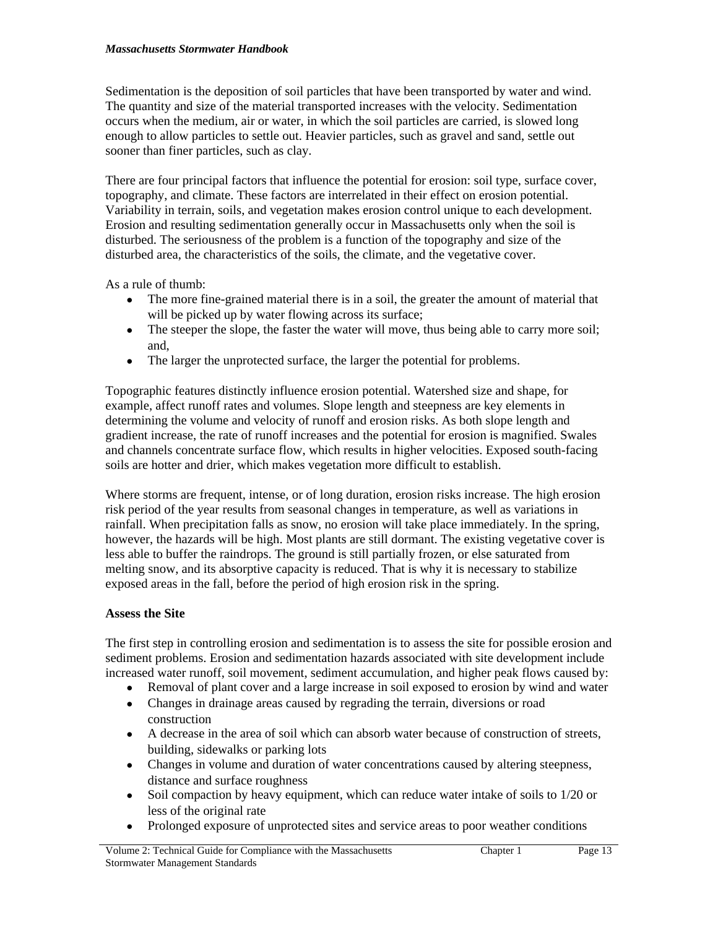#### *Massachusetts Stormwater Handbook*

Sedimentation is the deposition of soil particles that have been transported by water and wind. The quantity and size of the material transported increases with the velocity. Sedimentation occurs when the medium, air or water, in which the soil particles are carried, is slowed long enough to allow particles to settle out. Heavier particles, such as gravel and sand, settle out sooner than finer particles, such as clay.

There are four principal factors that influence the potential for erosion: soil type, surface cover, topography, and climate. These factors are interrelated in their effect on erosion potential. Variability in terrain, soils, and vegetation makes erosion control unique to each development. Erosion and resulting sedimentation generally occur in Massachusetts only when the soil is disturbed. The seriousness of the problem is a function of the topography and size of the disturbed area, the characteristics of the soils, the climate, and the vegetative cover.

As a rule of thumb:

- The more fine-grained material there is in a soil, the greater the amount of material that will be picked up by water flowing across its surface;
- The steeper the slope, the faster the water will move, thus being able to carry more soil; and,
- The larger the unprotected surface, the larger the potential for problems.

Topographic features distinctly influence erosion potential. Watershed size and shape, for example, affect runoff rates and volumes. Slope length and steepness are key elements in determining the volume and velocity of runoff and erosion risks. As both slope length and gradient increase, the rate of runoff increases and the potential for erosion is magnified. Swales and channels concentrate surface flow, which results in higher velocities. Exposed south-facing soils are hotter and drier, which makes vegetation more difficult to establish.

Where storms are frequent, intense, or of long duration, erosion risks increase. The high erosion risk period of the year results from seasonal changes in temperature, as well as variations in rainfall. When precipitation falls as snow, no erosion will take place immediately. In the spring, however, the hazards will be high. Most plants are still dormant. The existing vegetative cover is less able to buffer the raindrops. The ground is still partially frozen, or else saturated from melting snow, and its absorptive capacity is reduced. That is why it is necessary to stabilize exposed areas in the fall, before the period of high erosion risk in the spring.

# **Assess the Site**

The first step in controlling erosion and sedimentation is to assess the site for possible erosion and sediment problems. Erosion and sedimentation hazards associated with site development include increased water runoff, soil movement, sediment accumulation, and higher peak flows caused by:

- Removal of plant cover and a large increase in soil exposed to erosion by wind and water
- Changes in drainage areas caused by regrading the terrain, diversions or road construction
- A decrease in the area of soil which can absorb water because of construction of streets, building, sidewalks or parking lots
- Changes in volume and duration of water concentrations caused by altering steepness, distance and surface roughness
- Soil compaction by heavy equipment, which can reduce water intake of soils to 1/20 or less of the original rate
- Prolonged exposure of unprotected sites and service areas to poor weather conditions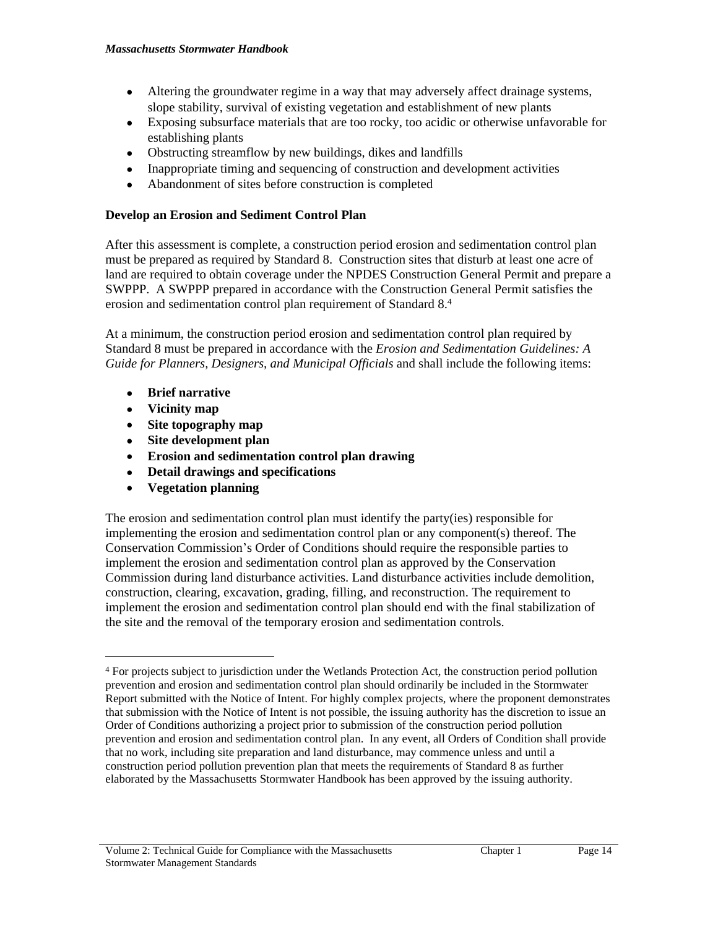- Altering the groundwater regime in a way that may adversely affect drainage systems, slope stability, survival of existing vegetation and establishment of new plants
- Exposing subsurface materials that are too rocky, too acidic or otherwise unfavorable for establishing plants
- Obstructing streamflow by new buildings, dikes and landfills
- Inappropriate timing and sequencing of construction and development activities
- Abandonment of sites before construction is completed

# **Develop an Erosion and Sediment Control Plan**

After this assessment is complete, a construction period erosion and sedimentation control plan must be prepared as required by Standard 8. Construction sites that disturb at least one acre of land are required to obtain coverage under the NPDES Construction General Permit and prepare a SWPPP. A SWPPP prepared in accordance with the Construction General Permit satisfies the erosion and sedimentation control plan requirement of Standard 8.<sup>4</sup>

At a minimum, the construction period erosion and sedimentation control plan required by Standard 8 must be prepared in accordance with the *Erosion and Sedimentation Guidelines: A Guide for Planners, Designers, and Municipal Officials* and shall include the following items:

- **Brief narrative**
- **Vicinity map**
- **Site topography map**
- **Site development plan**
- **Erosion and sedimentation control plan drawing**
- **Detail drawings and specifications**
- **Vegetation planning**

The erosion and sedimentation control plan must identify the party(ies) responsible for implementing the erosion and sedimentation control plan or any component(s) thereof. The Conservation Commission's Order of Conditions should require the responsible parties to implement the erosion and sedimentation control plan as approved by the Conservation Commission during land disturbance activities. Land disturbance activities include demolition, construction, clearing, excavation, grading, filling, and reconstruction. The requirement to implement the erosion and sedimentation control plan should end with the final stabilization of the site and the removal of the temporary erosion and sedimentation controls.

<sup>4</sup> For projects subject to jurisdiction under the Wetlands Protection Act, the construction period pollution prevention and erosion and sedimentation control plan should ordinarily be included in the Stormwater Report submitted with the Notice of Intent. For highly complex projects, where the proponent demonstrates that submission with the Notice of Intent is not possible, the issuing authority has the discretion to issue an Order of Conditions authorizing a project prior to submission of the construction period pollution prevention and erosion and sedimentation control plan. In any event, all Orders of Condition shall provide that no work, including site preparation and land disturbance, may commence unless and until a construction period pollution prevention plan that meets the requirements of Standard 8 as further elaborated by the Massachusetts Stormwater Handbook has been approved by the issuing authority.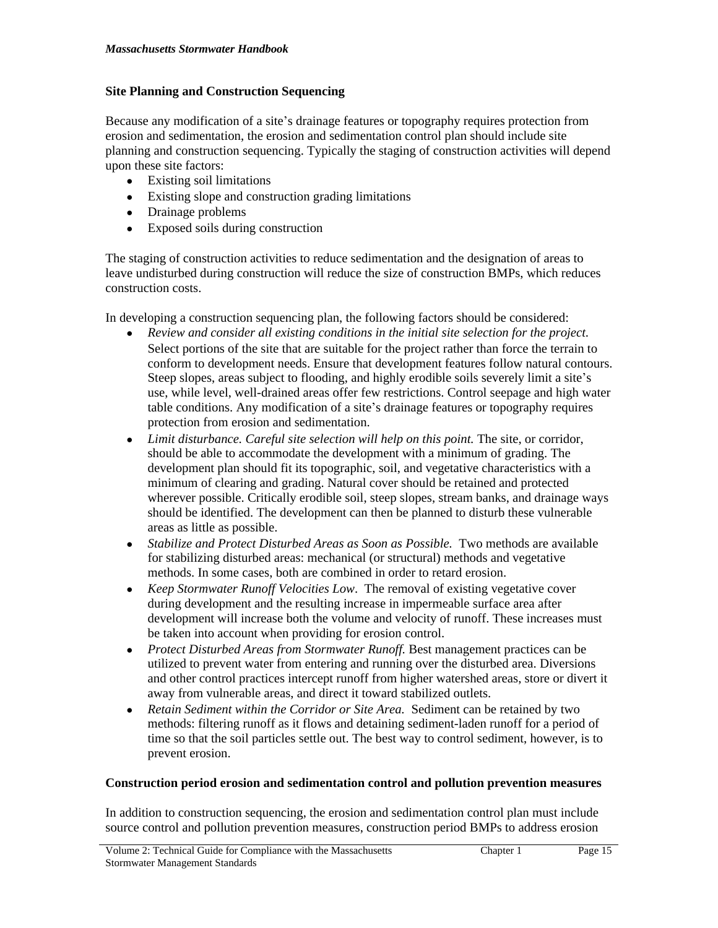## **Site Planning and Construction Sequencing**

Because any modification of a site's drainage features or topography requires protection from erosion and sedimentation, the erosion and sedimentation control plan should include site planning and construction sequencing. Typically the staging of construction activities will depend upon these site factors:

- Existing soil limitations
- Existing slope and construction grading limitations
- Drainage problems
- Exposed soils during construction

The staging of construction activities to reduce sedimentation and the designation of areas to leave undisturbed during construction will reduce the size of construction BMPs, which reduces construction costs.

In developing a construction sequencing plan, the following factors should be considered:

- *Review and consider all existing conditions in the initial site selection for the project.*  Select portions of the site that are suitable for the project rather than force the terrain to conform to development needs. Ensure that development features follow natural contours. Steep slopes, areas subject to flooding, and highly erodible soils severely limit a site's use, while level, well-drained areas offer few restrictions. Control seepage and high water table conditions. Any modification of a site's drainage features or topography requires protection from erosion and sedimentation.
- *Limit disturbance. Careful site selection will help on this point.* The site, or corridor, should be able to accommodate the development with a minimum of grading. The development plan should fit its topographic, soil, and vegetative characteristics with a minimum of clearing and grading. Natural cover should be retained and protected wherever possible. Critically erodible soil, steep slopes, stream banks, and drainage ways should be identified. The development can then be planned to disturb these vulnerable areas as little as possible.
- *Stabilize and Protect Disturbed Areas as Soon as Possible.* Two methods are available for stabilizing disturbed areas: mechanical (or structural) methods and vegetative methods. In some cases, both are combined in order to retard erosion.
- *Keep Stormwater Runoff Velocities Low*. The removal of existing vegetative cover during development and the resulting increase in impermeable surface area after development will increase both the volume and velocity of runoff. These increases must be taken into account when providing for erosion control.
- *Protect Disturbed Areas from Stormwater Runoff.* Best management practices can be utilized to prevent water from entering and running over the disturbed area. Diversions and other control practices intercept runoff from higher watershed areas, store or divert it away from vulnerable areas, and direct it toward stabilized outlets.
- *Retain Sediment within the Corridor or Site Area.* Sediment can be retained by two methods: filtering runoff as it flows and detaining sediment-laden runoff for a period of time so that the soil particles settle out. The best way to control sediment, however, is to prevent erosion.

### **Construction period erosion and sedimentation control and pollution prevention measures**

In addition to construction sequencing, the erosion and sedimentation control plan must include source control and pollution prevention measures, construction period BMPs to address erosion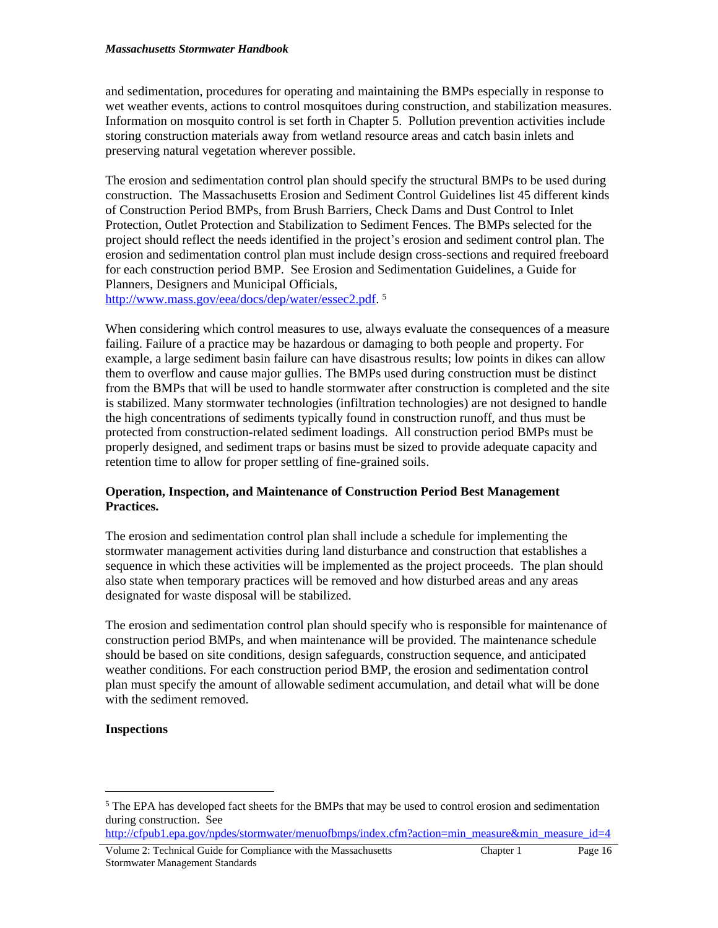and sedimentation, procedures for operating and maintaining the BMPs especially in response to wet weather events, actions to control mosquitoes during construction, and stabilization measures. Information on mosquito control is set forth in Chapter 5. Pollution prevention activities include storing construction materials away from wetland resource areas and catch basin inlets and preserving natural vegetation wherever possible.

The erosion and sedimentation control plan should specify the structural BMPs to be used during construction. The Massachusetts Erosion and Sediment Control Guidelines list 45 different kinds of Construction Period BMPs, from Brush Barriers, Check Dams and Dust Control to Inlet Protection, Outlet Protection and Stabilization to Sediment Fences. The BMPs selected for the project should reflect the needs identified in the project's erosion and sediment control plan. The erosion and sedimentation control plan must include design cross-sections and required freeboard for each construction period BMP. See Erosion and Sedimentation Guidelines, a Guide for Planners, Designers and Municipal Officials, http://www.mass.gov/eea/docs/dep/water/essec2.pdf. 5

When considering which control measures to use, always evaluate the consequences of a measure failing. Failure of a practice may be hazardous or damaging to both people and property. For example, a large sediment basin failure can have disastrous results; low points in dikes can allow them to overflow and cause major gullies. The BMPs used during construction must be distinct from the BMPs that will be used to handle stormwater after construction is completed and the site is stabilized. Many stormwater technologies (infiltration technologies) are not designed to handle the high concentrations of sediments typically found in construction runoff, and thus must be protected from construction-related sediment loadings. All construction period BMPs must be properly designed, and sediment traps or basins must be sized to provide adequate capacity and retention time to allow for proper settling of fine-grained soils.

## **Operation, Inspection, and Maintenance of Construction Period Best Management Practices.**

The erosion and sedimentation control plan shall include a schedule for implementing the stormwater management activities during land disturbance and construction that establishes a sequence in which these activities will be implemented as the project proceeds. The plan should also state when temporary practices will be removed and how disturbed areas and any areas designated for waste disposal will be stabilized.

The erosion and sedimentation control plan should specify who is responsible for maintenance of construction period BMPs, and when maintenance will be provided. The maintenance schedule should be based on site conditions, design safeguards, construction sequence, and anticipated weather conditions. For each construction period BMP, the erosion and sedimentation control plan must specify the amount of allowable sediment accumulation, and detail what will be done with the sediment removed.

# **Inspections**

Volume 2: Technical Guide for Compliance with the Massachusetts Stormwater Management Standards

<sup>&</sup>lt;sup>5</sup> The EPA has developed fact sheets for the BMPs that may be used to control erosion and sedimentation during construction. See

[http://cfpub1.epa.gov/npdes/stormwater/menuofbmps/index.cfm?action=min\\_measure&min\\_measure\\_id=4](http://cfpub1.epa.gov/npdes/stormwater/menuofbmps/index.cfm?action=min_measure&min_measure_id=4)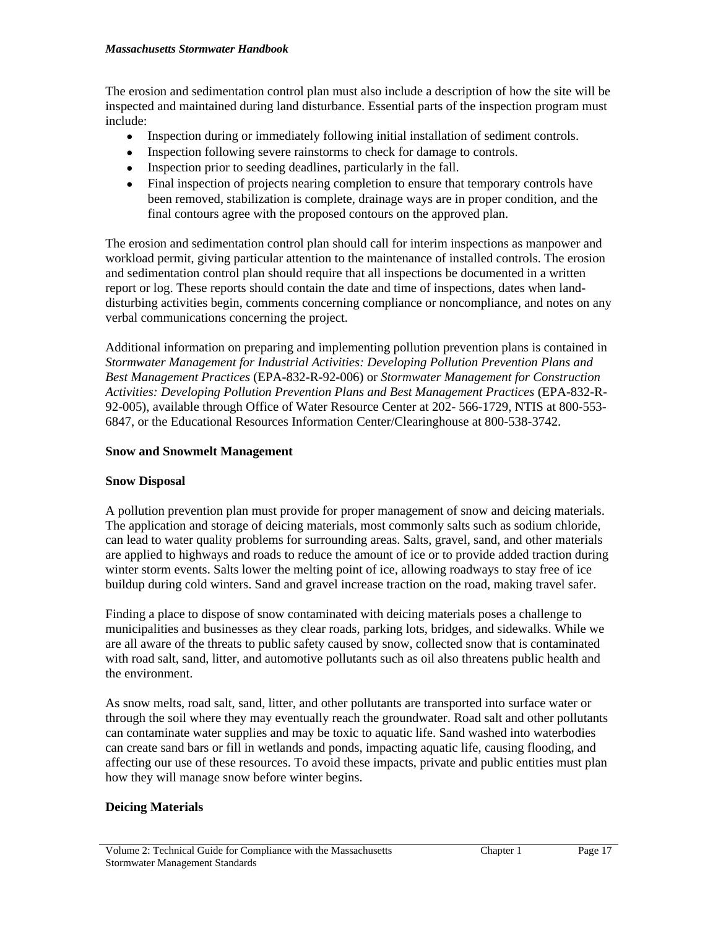#### *Massachusetts Stormwater Handbook*

The erosion and sedimentation control plan must also include a description of how the site will be inspected and maintained during land disturbance. Essential parts of the inspection program must include:

- Inspection during or immediately following initial installation of sediment controls.
- Inspection following severe rainstorms to check for damage to controls.
- Inspection prior to seeding deadlines, particularly in the fall.
- Final inspection of projects nearing completion to ensure that temporary controls have been removed, stabilization is complete, drainage ways are in proper condition, and the final contours agree with the proposed contours on the approved plan.

The erosion and sedimentation control plan should call for interim inspections as manpower and workload permit, giving particular attention to the maintenance of installed controls. The erosion and sedimentation control plan should require that all inspections be documented in a written report or log. These reports should contain the date and time of inspections, dates when landdisturbing activities begin, comments concerning compliance or noncompliance, and notes on any verbal communications concerning the project.

Additional information on preparing and implementing pollution prevention plans is contained in *Stormwater Management for Industrial Activities: Developing Pollution Prevention Plans and Best Management Practices* (EPA-832-R-92-006) or *Stormwater Management for Construction Activities: Developing Pollution Prevention Plans and Best Management Practices* (EPA-832-R-92-005), available through Office of Water Resource Center at 202- 566-1729, NTIS at 800-553- 6847, or the Educational Resources Information Center/Clearinghouse at 800-538-3742.

# **Snow and Snowmelt Management**

# **Snow Disposal**

A pollution prevention plan must provide for proper management of snow and deicing materials. The application and storage of deicing materials, most commonly salts such as sodium chloride, can lead to water quality problems for surrounding areas. Salts, gravel, sand, and other materials are applied to highways and roads to reduce the amount of ice or to provide added traction during winter storm events. Salts lower the melting point of ice, allowing roadways to stay free of ice buildup during cold winters. Sand and gravel increase traction on the road, making travel safer.

Finding a place to dispose of snow contaminated with deicing materials poses a challenge to municipalities and businesses as they clear roads, parking lots, bridges, and sidewalks. While we are all aware of the threats to public safety caused by snow, collected snow that is contaminated with road salt, sand, litter, and automotive pollutants such as oil also threatens public health and the environment.

As snow melts, road salt, sand, litter, and other pollutants are transported into surface water or through the soil where they may eventually reach the groundwater. Road salt and other pollutants can contaminate water supplies and may be toxic to aquatic life. Sand washed into waterbodies can create sand bars or fill in wetlands and ponds, impacting aquatic life, causing flooding, and affecting our use of these resources. To avoid these impacts, private and public entities must plan how they will manage snow before winter begins.

# **Deicing Materials**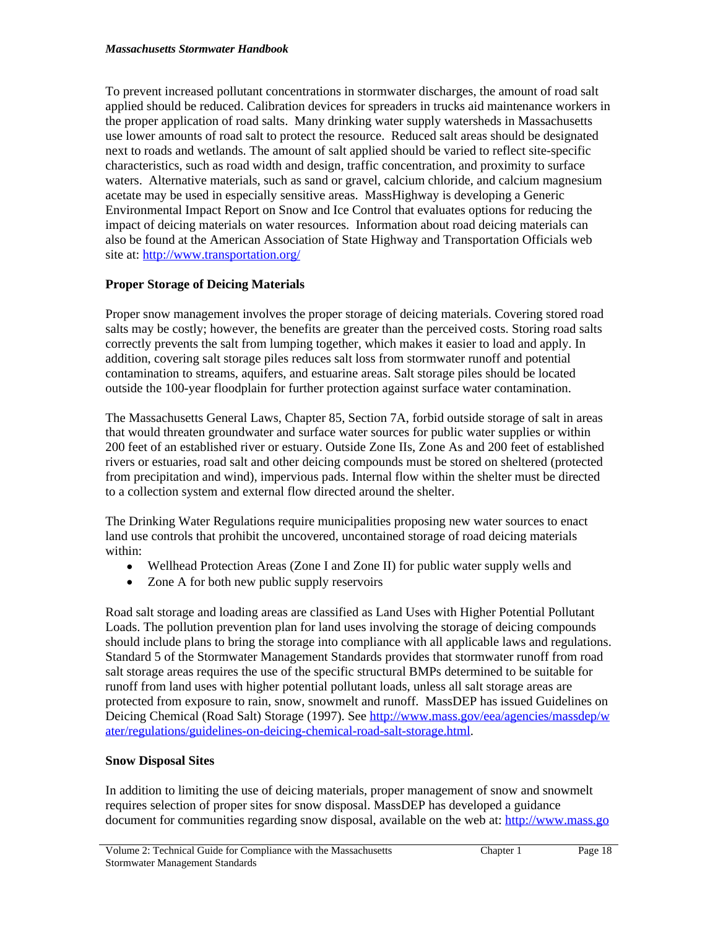To prevent increased pollutant concentrations in stormwater discharges, the amount of road salt applied should be reduced. Calibration devices for spreaders in trucks aid maintenance workers in the proper application of road salts. Many drinking water supply watersheds in Massachusetts use lower amounts of road salt to protect the resource. Reduced salt areas should be designated next to roads and wetlands. The amount of salt applied should be varied to reflect site-specific characteristics, such as road width and design, traffic concentration, and proximity to surface waters. Alternative materials, such as sand or gravel, calcium chloride, and calcium magnesium acetate may be used in especially sensitive areas. MassHighway is developing a Generic Environmental Impact Report on Snow and Ice Control that evaluates options for reducing the impact of deicing materials on water resources. Information about road deicing materials can also be found at the American Association of State Highway and Transportation Officials web site at: <http://www.transportation.org/>

# **Proper Storage of Deicing Materials**

Proper snow management involves the proper storage of deicing materials. Covering stored road salts may be costly; however, the benefits are greater than the perceived costs. Storing road salts correctly prevents the salt from lumping together, which makes it easier to load and apply. In addition, covering salt storage piles reduces salt loss from stormwater runoff and potential contamination to streams, aquifers, and estuarine areas. Salt storage piles should be located outside the 100-year floodplain for further protection against surface water contamination.

The Massachusetts General Laws, Chapter 85, Section 7A, forbid outside storage of salt in areas that would threaten groundwater and surface water sources for public water supplies or within 200 feet of an established river or estuary. Outside Zone IIs, Zone As and 200 feet of established rivers or estuaries, road salt and other deicing compounds must be stored on sheltered (protected from precipitation and wind), impervious pads. Internal flow within the shelter must be directed to a collection system and external flow directed around the shelter.

The Drinking Water Regulations require municipalities proposing new water sources to enact land use controls that prohibit the uncovered, uncontained storage of road deicing materials within:

- Wellhead Protection Areas (Zone I and Zone II) for public water supply wells and
- Zone A for both new public supply reservoirs

Road salt storage and loading areas are classified as Land Uses with Higher Potential Pollutant Loads. The pollution prevention plan for land uses involving the storage of deicing compounds should include plans to bring the storage into compliance with all applicable laws and regulations. Standard 5 of the Stormwater Management Standards provides that stormwater runoff from road salt storage areas requires the use of the specific structural BMPs determined to be suitable for runoff from land uses with higher potential pollutant loads, unless all salt storage areas are protected from exposure to rain, snow, snowmelt and runoff. MassDEP has issued Guidelines on Deicing Chemical (Road Salt) Storage (1997). See [http://www.mass.gov/eea/agencies/massdep/w](http://www.mass.gov/eea/agencies/massdep/water/regulations/guidelines-on-deicing-chemical-road-salt-storage.html) ater/regulations/guidelines-on-deicing-chemical-road-salt-storage.html.

# **Snow Disposal Sites**

In addition to limiting the use of deicing materials, proper management of snow and snowmelt requires selection of proper sites for snow disposal. MassDEP has developed a guidance document for communities regarding snow disposal, available on the web at: [http://www.mass.go](http://www.mass.gov/eea/agencies/massdep/water/regulations/guidelines-on-deicing-chemical-road-salt-storage.html)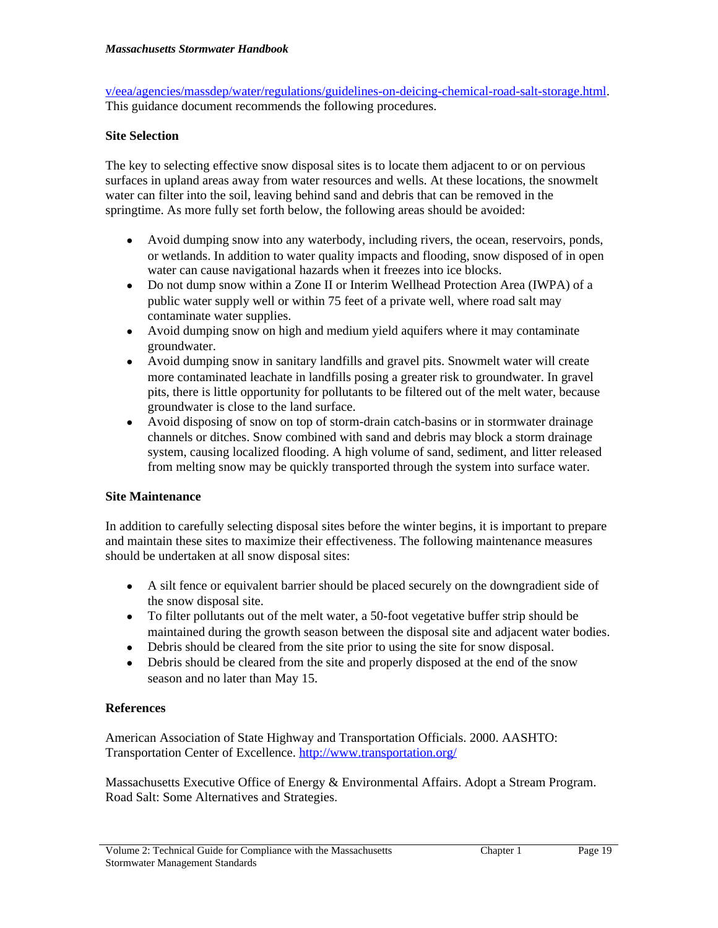v/eea/agencies/massdep/water/regulations/guidelines-on-deicing-chemical-road-salt-storage.html. This guidance document recommends the following procedures.

# **Site Selection**

The key to selecting effective snow disposal sites is to locate them adjacent to or on pervious surfaces in upland areas away from water resources and wells. At these locations, the snowmelt water can filter into the soil, leaving behind sand and debris that can be removed in the springtime. As more fully set forth below, the following areas should be avoided:

- Avoid dumping snow into any waterbody, including rivers, the ocean, reservoirs, ponds, or wetlands. In addition to water quality impacts and flooding, snow disposed of in open water can cause navigational hazards when it freezes into ice blocks.
- Do not dump snow within a Zone II or Interim Wellhead Protection Area (IWPA) of a public water supply well or within 75 feet of a private well, where road salt may contaminate water supplies.
- Avoid dumping snow on high and medium yield aquifers where it may contaminate groundwater.
- Avoid dumping snow in sanitary landfills and gravel pits. Snowmelt water will create more contaminated leachate in landfills posing a greater risk to groundwater. In gravel pits, there is little opportunity for pollutants to be filtered out of the melt water, because groundwater is close to the land surface.
- Avoid disposing of snow on top of storm-drain catch-basins or in stormwater drainage channels or ditches. Snow combined with sand and debris may block a storm drainage system, causing localized flooding. A high volume of sand, sediment, and litter released from melting snow may be quickly transported through the system into surface water.

### **Site Maintenance**

In addition to carefully selecting disposal sites before the winter begins, it is important to prepare and maintain these sites to maximize their effectiveness. The following maintenance measures should be undertaken at all snow disposal sites:

- A silt fence or equivalent barrier should be placed securely on the downgradient side of the snow disposal site.
- To filter pollutants out of the melt water, a 50-foot vegetative buffer strip should be maintained during the growth season between the disposal site and adjacent water bodies.
- Debris should be cleared from the site prior to using the site for snow disposal.
- Debris should be cleared from the site and properly disposed at the end of the snow season and no later than May 15.

### **References**

American Association of State Highway and Transportation Officials. 2000. AASHTO: Transportation Center of Excellence.<http://www.transportation.org/>

Massachusetts Executive Office of Energy & Environmental Affairs. Adopt a Stream Program. Road Salt: Some Alternatives and Strategies.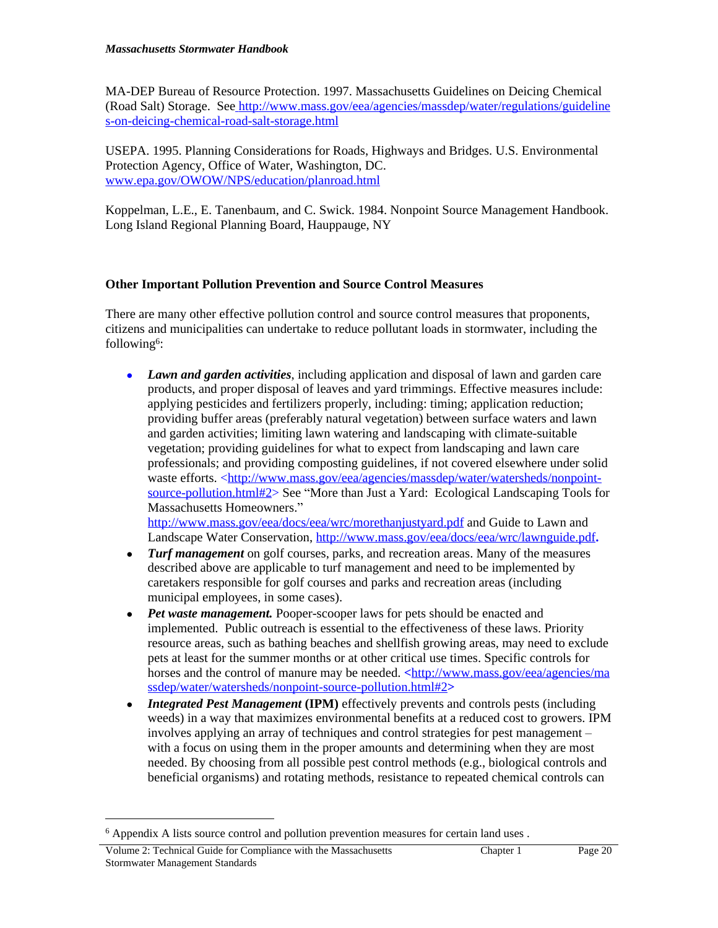MA-DEP Bureau of Resource Protection. 1997. Massachusetts Guidelines on Deicing Chemical (Road Salt) Storage. [See](http://www.mass.gov/dep/water/laws/policies.htm#storm) [http://www.mass.gov/eea/agencies/massdep/water/regulations/guideline](http://www.mass.gov/dep/water/laws/policies.htm#storm) [s-on-deicing-chemical-road-salt-storage.html](http://www.mass.gov/dep/water/laws/policies.htm#storm)

[USEPA. 1995. Planning Considerations for Roads, Highways and Bridges. U.S. Environmental](http://www.mass.gov/dep/water/laws/policies.htm#storm)  [Protection Agency, Office of Water, Washington, DC.](http://www.mass.gov/dep/water/laws/policies.htm#storm)  [www.epa.gov/OWOW/NPS/education/planroad.html](http://www.epa.gov/OWOW/NPS/education/planroad.html)

Koppelman, L.E., E. Tanenbaum, and C. Swick. 1984. Nonpoint Source Management Handbook. Long Island Regional Planning Board, Hauppauge, NY

# **Other Important Pollution Prevention and Source Control Measures**

There are many other effective pollution control and source control measures that proponents, citizens and municipalities can undertake to reduce pollutant loads in stormwater, including the following<sup>6</sup>:

 *Lawn and garden activities*, including application and disposal of lawn and garden care products, and proper disposal of leaves and yard trimmings. Effective measures include: applying pesticides and fertilizers properly, including: timing; application reduction; providing buffer areas (preferably natural vegetation) between surface waters and lawn and garden activities; limiting lawn watering and landscaping with climate-suitable vegetation; providing guidelines for what to expect from landscaping and lawn care professionals; and providing composting guidelines, if not covered elsewhere under solid waste efforts. <http://www.mass.gov/eea/agencies/massdep/water/watersheds/nonpointsource-pollution.html#2> See "More than Just a Yard: Ecological Landscaping Tools for Massachusetts Homeowners."

<http://www.mass.gov/eea/docs/eea/wrc/morethanjustyard.pdf> and Guide to Lawn and Landscape Water Conservation, <http://www.mass.gov/eea/docs/eea/wrc/lawnguide.pdf>**.**

- *Turf management* on golf courses, parks, and recreation areas. Many of the measures described above are applicable to turf management and need to be implemented by caretakers responsible for golf courses and parks and recreation areas (including municipal employees, in some cases).
- *Pet waste management*. Pooper-scooper laws for pets should be enacted and implemented. Public outreach is essential to the effectiveness of these laws. Priority resource areas, such as bathing beaches and shellfish growing areas, may need to exclude pets at least for the summer months or at other critical use times. Specific controls for horses and the control of manure may be needed. **<**http://www.mass.gov/eea/agencies/ma ssdep/water/watersheds/nonpoint-source-pollution.html#2**>**
- *Integrated Pest Management* (IPM) effectively prevents and controls pests (including weeds) in a way that maximizes environmental benefits at a reduced cost to growers. IPM involves applying an array of techniques and control strategies for pest management – with a focus on using them in the proper amounts and determining when they are most needed. By choosing from all possible pest control methods (e.g., biological controls and beneficial organisms) and rotating methods, resistance to repeated chemical controls can

<sup>&</sup>lt;sup>6</sup> Appendix A lists source control and pollution prevention measures for certain land uses .

Volume 2: Technical Guide for Compliance with the Massachusetts Stormwater Management Standards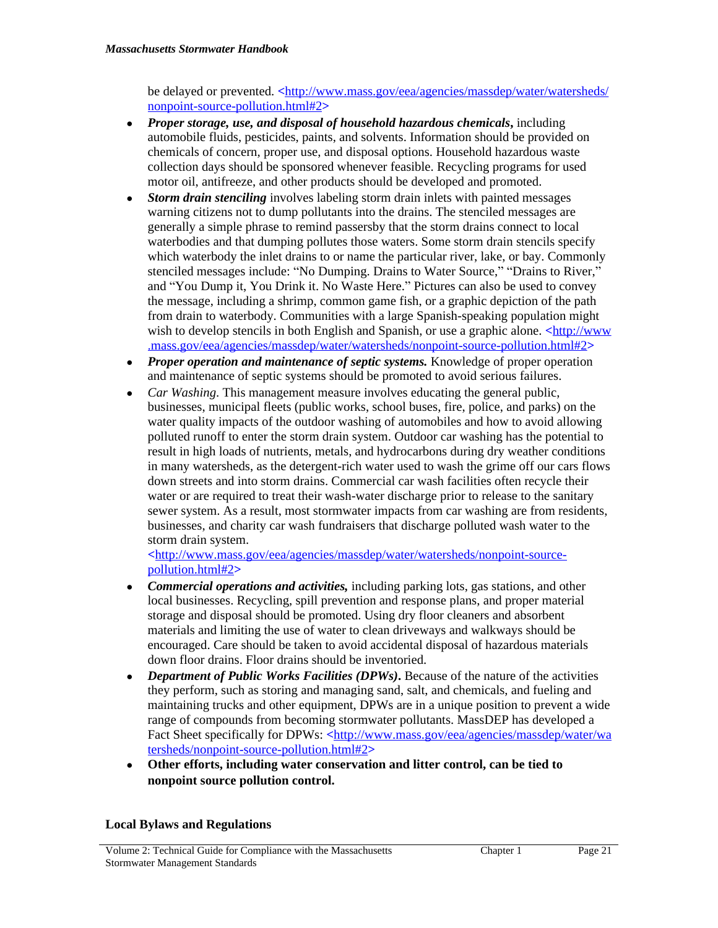be delayed or prevented. **<**http://www.mass.gov/eea/agencies/massdep/water/watersheds/ nonpoint-source-pollution.html#2**>**

- *Proper storage, use, and disposal of household hazardous chemicals***,** including automobile fluids, pesticides, paints, and solvents. Information should be provided on chemicals of concern, proper use, and disposal options. Household hazardous waste collection days should be sponsored whenever feasible. Recycling programs for used motor oil, antifreeze, and other products should be developed and promoted.
- *Storm drain stenciling* involves labeling storm drain inlets with painted messages warning citizens not to dump pollutants into the drains. The stenciled messages are generally a simple phrase to remind passersby that the storm drains connect to local waterbodies and that dumping pollutes those waters. Some storm drain stencils specify which waterbody the inlet drains to or name the particular river, lake, or bay. Commonly stenciled messages include: "No Dumping. Drains to Water Source," "Drains to River," and "You Dump it, You Drink it. No Waste Here." Pictures can also be used to convey the message, including a shrimp, common game fish, or a graphic depiction of the path from drain to waterbody. Communities with a large Spanish-speaking population might wish to develop stencils in both English and Spanish, or use a graphic alone. **<**http://www .mass.gov/eea/agencies/massdep/water/watersheds/nonpoint-source-pollution.html#2**>**
- *Proper operation and maintenance of septic systems.* Knowledge of proper operation and maintenance of septic systems should be promoted to avoid serious failures.
- *Car Washing*. This management measure involves educating the general public, businesses, municipal fleets (public works, school buses, fire, police, and parks) on the water quality impacts of the outdoor washing of automobiles and how to avoid allowing polluted runoff to enter the storm drain system. Outdoor car washing has the potential to result in high loads of nutrients, metals, and hydrocarbons during dry weather conditions in many watersheds, as the detergent-rich water used to wash the grime off our cars flows down streets and into storm drains. Commercial car wash facilities often recycle their water or are required to treat their wash-water discharge prior to release to the sanitary sewer system. As a result, most stormwater impacts from car washing are from residents, businesses, and charity car wash fundraisers that discharge polluted wash water to the storm drain system.

**<**http://www.mass.gov/eea/agencies/massdep/water/watersheds/nonpoint-sourcepollution.html#2**>**

- *Commercial operations and activities,* including parking lots, gas stations, and other local businesses. Recycling, spill prevention and response plans, and proper material storage and disposal should be promoted. Using dry floor cleaners and absorbent materials and limiting the use of water to clean driveways and walkways should be encouraged. Care should be taken to avoid accidental disposal of hazardous materials down floor drains. Floor drains should be inventoried.
- Department of Public Works Facilities (DPWs)**.** Because of the nature of the activities they perform, such as storing and managing sand, salt, and chemicals, and fueling and maintaining trucks and other equipment, DPWs are in a unique position to prevent a wide range of compounds from becoming stormwater pollutants. MassDEP has developed a Fact Sheet specifically for DPWs: **<**http://www.mass.gov/eea/agencies/massdep/water/wa tersheds/nonpoint-source-pollution.html#2**>**
- **Other efforts, including water conservation and litter control, can be tied to nonpoint source pollution control.**

### **Local Bylaws and Regulations**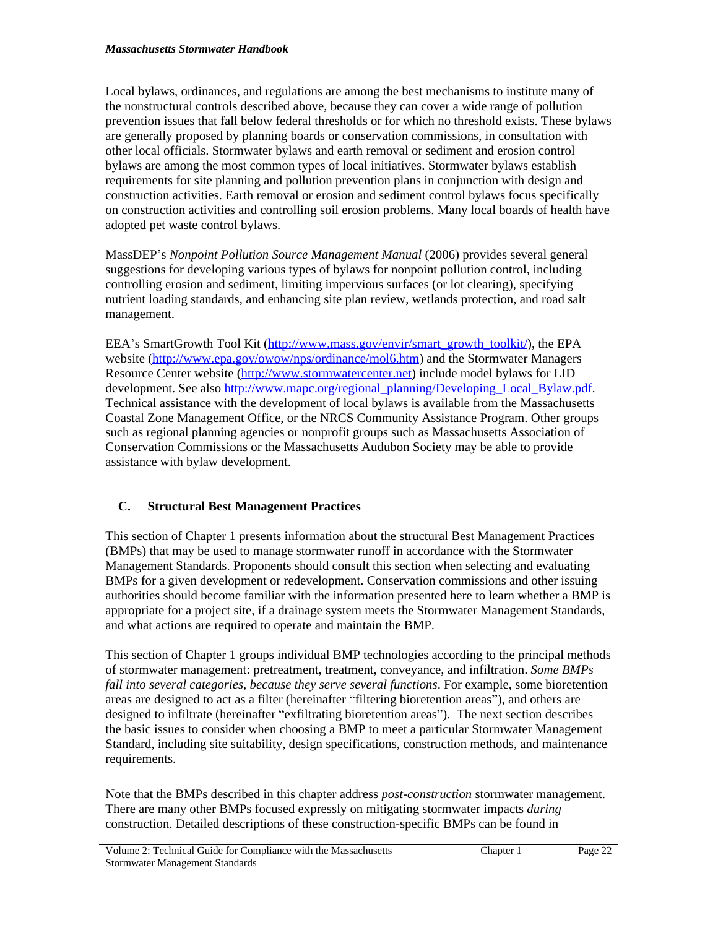Local bylaws, ordinances, and regulations are among the best mechanisms to institute many of the nonstructural controls described above, because they can cover a wide range of pollution prevention issues that fall below federal thresholds or for which no threshold exists. These bylaws are generally proposed by planning boards or conservation commissions, in consultation with other local officials. Stormwater bylaws and earth removal or sediment and erosion control bylaws are among the most common types of local initiatives. Stormwater bylaws establish requirements for site planning and pollution prevention plans in conjunction with design and construction activities. Earth removal or erosion and sediment control bylaws focus specifically on construction activities and controlling soil erosion problems. Many local boards of health have adopted pet waste control bylaws.

MassDEP's *Nonpoint Pollution Source Management Manual* (2006) provides several general suggestions for developing various types of bylaws for nonpoint pollution control, including controlling erosion and sediment, limiting impervious surfaces (or lot clearing), specifying nutrient loading standards, and enhancing site plan review, wetlands protection, and road salt management.

EEA's SmartGrowth Tool Kit ([http://www.mass.gov/envir/smart\\_growth\\_toolkit/\)](http://www.mass.gov/envir/smart_growth_toolkit/), the EPA website [\(http://www.epa.gov/owow/nps/ordinance/mol6.htm\)](http://www.epa.gov/owow/nps/ordinance/mol6.htm) and the Stormwater Managers Resource Center website (<http://www.stormwatercenter.net>) include model bylaws for LID development. See also [http://www.mapc.org/regional\\_planning/Developing\\_Local\\_Bylaw.pdf](http://www.mapc.org/regional_planning/Developing_Local_Bylaw.pdf). Technical assistance with the development of local bylaws is available from the Massachusetts Coastal Zone Management Office, or the NRCS Community Assistance Program. Other groups such as regional planning agencies or nonprofit groups such as Massachusetts Association of Conservation Commissions or the Massachusetts Audubon Society may be able to provide assistance with bylaw development.

# **C. Structural Best Management Practices**

This section of Chapter 1 presents information about the structural Best Management Practices (BMPs) that may be used to manage stormwater runoff in accordance with the Stormwater Management Standards. Proponents should consult this section when selecting and evaluating BMPs for a given development or redevelopment. Conservation commissions and other issuing authorities should become familiar with the information presented here to learn whether a BMP is appropriate for a project site, if a drainage system meets the Stormwater Management Standards, and what actions are required to operate and maintain the BMP.

This section of Chapter 1 groups individual BMP technologies according to the principal methods of stormwater management: pretreatment, treatment, conveyance, and infiltration. *Some BMPs fall into several categories, because they serve several functions*. For example, some bioretention areas are designed to act as a filter (hereinafter "filtering bioretention areas"), and others are designed to infiltrate (hereinafter "exfiltrating bioretention areas"). The next section describes the basic issues to consider when choosing a BMP to meet a particular Stormwater Management Standard, including site suitability, design specifications, construction methods, and maintenance requirements.

Note that the BMPs described in this chapter address *post-construction* stormwater management. There are many other BMPs focused expressly on mitigating stormwater impacts *during* construction. Detailed descriptions of these construction-specific BMPs can be found in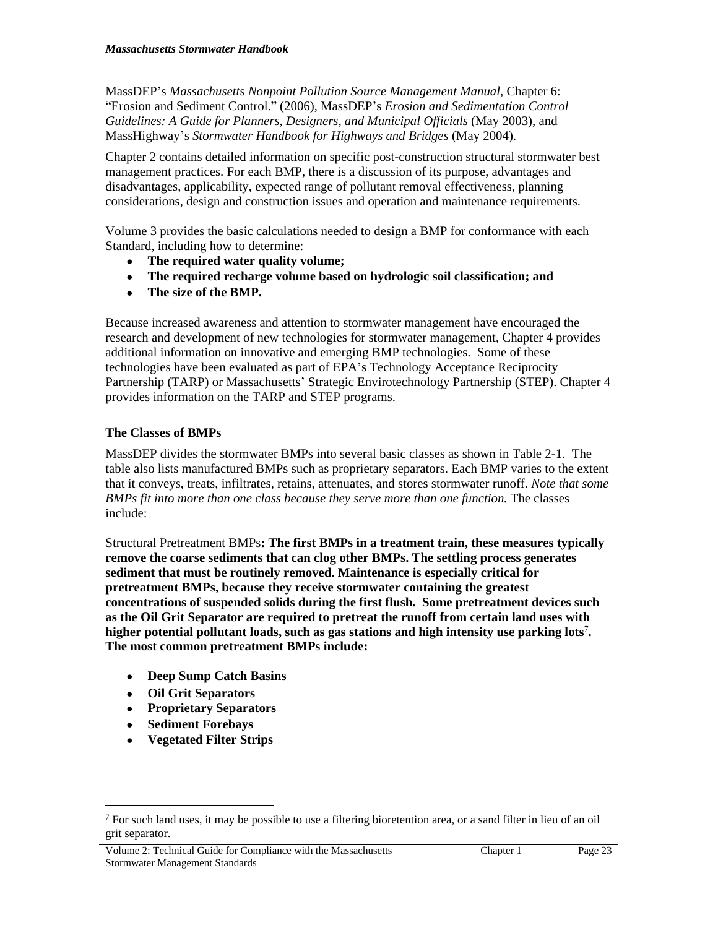MassDEP's *Massachusetts Nonpoint Pollution Source Management Manual,* Chapter 6: "Erosion and Sediment Control." (2006), MassDEP's *Erosion and Sedimentation Control Guidelines: A Guide for Planners, Designers, and Municipal Officials* (May 2003), and MassHighway's *Stormwater Handbook for Highways and Bridges* (May 2004).

Chapter 2 contains detailed information on specific post-construction structural stormwater best management practices. For each BMP, there is a discussion of its purpose, advantages and disadvantages, applicability, expected range of pollutant removal effectiveness, planning considerations, design and construction issues and operation and maintenance requirements.

Volume 3 provides the basic calculations needed to design a BMP for conformance with each Standard, including how to determine:

- **The required water quality volume;**
- **The required recharge volume based on hydrologic soil classification; and**
- **The size of the BMP.**

Because increased awareness and attention to stormwater management have encouraged the research and development of new technologies for stormwater management, Chapter 4 provides additional information on innovative and emerging BMP technologies. Some of these technologies have been evaluated as part of EPA's Technology Acceptance Reciprocity Partnership (TARP) or Massachusetts' Strategic Envirotechnology Partnership (STEP). Chapter 4 provides information on the TARP and STEP programs.

# **The Classes of BMPs**

MassDEP divides the stormwater BMPs into several basic classes as shown in Table 2-1. The table also lists manufactured BMPs such as proprietary separators. Each BMP varies to the extent that it conveys, treats, infiltrates, retains, attenuates, and stores stormwater runoff. *Note that some BMPs fit into more than one class because they serve more than one function.* The classes include:

Structural Pretreatment BMPs**: The first BMPs in a treatment train, these measures typically remove the coarse sediments that can clog other BMPs. The settling process generates sediment that must be routinely removed. Maintenance is especially critical for pretreatment BMPs, because they receive stormwater containing the greatest concentrations of suspended solids during the first flush. Some pretreatment devices such as the Oil Grit Separator are required to pretreat the runoff from certain land uses with higher potential pollutant loads, such as gas stations and high intensity use parking lots**<sup>7</sup> **. The most common pretreatment BMPs include:**

- **Deep Sump Catch Basins**
- **Oil Grit Separators**
- **Proprietary Separators**
- **Sediment Forebays**
- **Vegetated Filter Strips**

Volume 2: Technical Guide for Compliance with the Massachusetts Stormwater Management Standards

<sup>7</sup> For such land uses, it may be possible to use a filtering bioretention area, or a sand filter in lieu of an oil grit separator.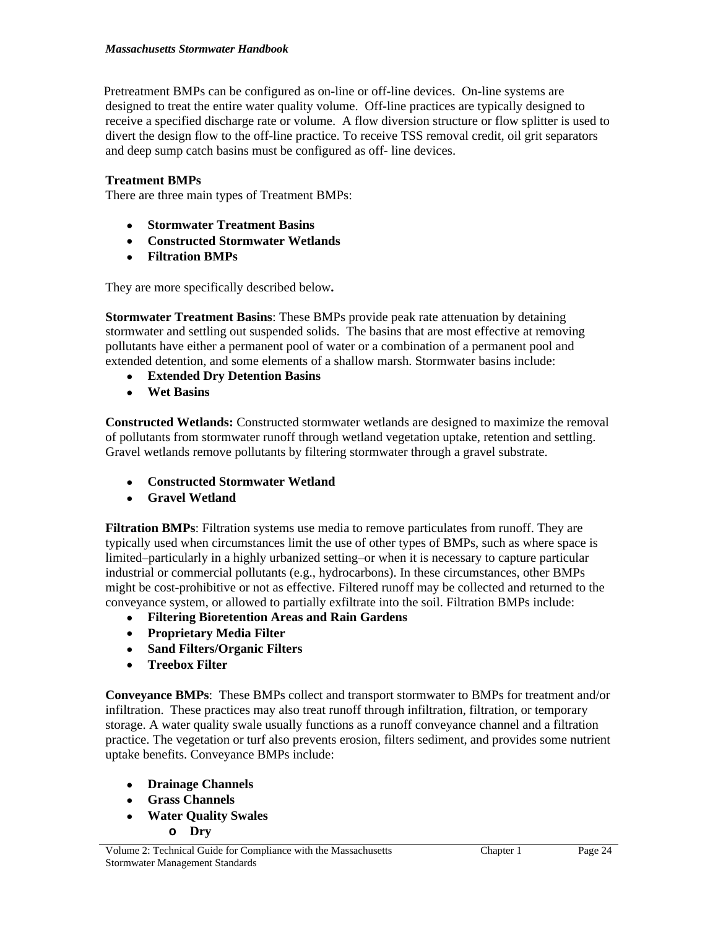Pretreatment BMPs can be configured as on-line or off-line devices. On-line systems are designed to treat the entire water quality volume. Off-line practices are typically designed to receive a specified discharge rate or volume. A flow diversion structure or flow splitter is used to divert the design flow to the off-line practice. To receive TSS removal credit, oil grit separators and deep sump catch basins must be configured as off- line devices.

# **Treatment BMPs**

There are three main types of Treatment BMPs:

- **Stormwater Treatment Basins**
- **Constructed Stormwater Wetlands**
- **Filtration BMPs**

They are more specifically described below**.**

**Stormwater Treatment Basins**: These BMPs provide peak rate attenuation by detaining stormwater and settling out suspended solids. The basins that are most effective at removing pollutants have either a permanent pool of water or a combination of a permanent pool and extended detention, and some elements of a shallow marsh. Stormwater basins include:

- **Extended Dry Detention Basins**
- **Wet Basins**

**Constructed Wetlands:** Constructed stormwater wetlands are designed to maximize the removal of pollutants from stormwater runoff through wetland vegetation uptake, retention and settling. Gravel wetlands remove pollutants by filtering stormwater through a gravel substrate.

- **Constructed Stormwater Wetland**
- **Gravel Wetland**

**Filtration BMPs**: Filtration systems use media to remove particulates from runoff. They are typically used when circumstances limit the use of other types of BMPs, such as where space is limited–particularly in a highly urbanized setting–or when it is necessary to capture particular industrial or commercial pollutants (e.g., hydrocarbons). In these circumstances, other BMPs might be cost-prohibitive or not as effective. Filtered runoff may be collected and returned to the conveyance system, or allowed to partially exfiltrate into the soil. Filtration BMPs include:

- **Filtering Bioretention Areas and Rain Gardens**
- **Proprietary Media Filter**
- **Sand Filters/Organic Filters**
- **Treebox Filter**

**Conveyance BMPs**:These BMPs collect and transport stormwater to BMPs for treatment and/or infiltration. These practices may also treat runoff through infiltration, filtration, or temporary storage. A water quality swale usually functions as a runoff conveyance channel and a filtration practice. The vegetation or turf also prevents erosion, filters sediment, and provides some nutrient uptake benefits. Conveyance BMPs include:

- **Drainage Channels**
- **Grass Channels**
- **Water Quality Swales**
	- **o Dry**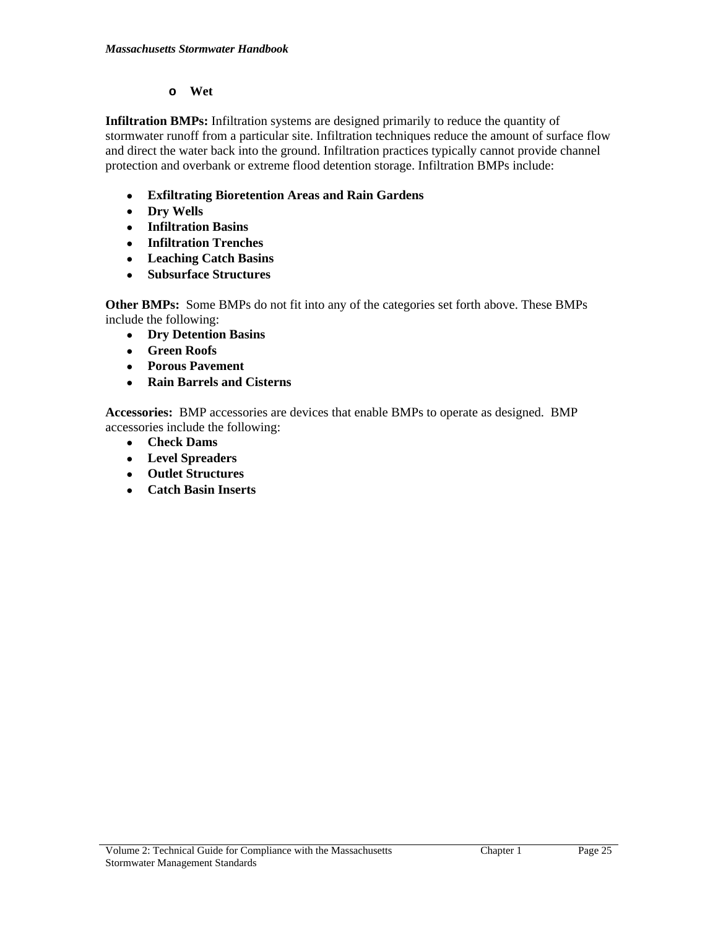### **o Wet**

**Infiltration BMPs:** Infiltration systems are designed primarily to reduce the quantity of stormwater runoff from a particular site. Infiltration techniques reduce the amount of surface flow and direct the water back into the ground. Infiltration practices typically cannot provide channel protection and overbank or extreme flood detention storage. Infiltration BMPs include:

- **Exfiltrating Bioretention Areas and Rain Gardens**
- **Dry Wells**
- **Infiltration Basins**
- **Infiltration Trenches**
- **Leaching Catch Basins**
- **Subsurface Structures**

**Other BMPs:** Some BMPs do not fit into any of the categories set forth above. These BMPs include the following:

- **Dry Detention Basins**
- **Green Roofs**
- **Porous Pavement**
- **Rain Barrels and Cisterns**

**Accessories:** BMP accessories are devices that enable BMPs to operate as designed. BMP accessories include the following:

- **Check Dams**
- **Level Spreaders**
- **Outlet Structures**
- **Catch Basin Inserts**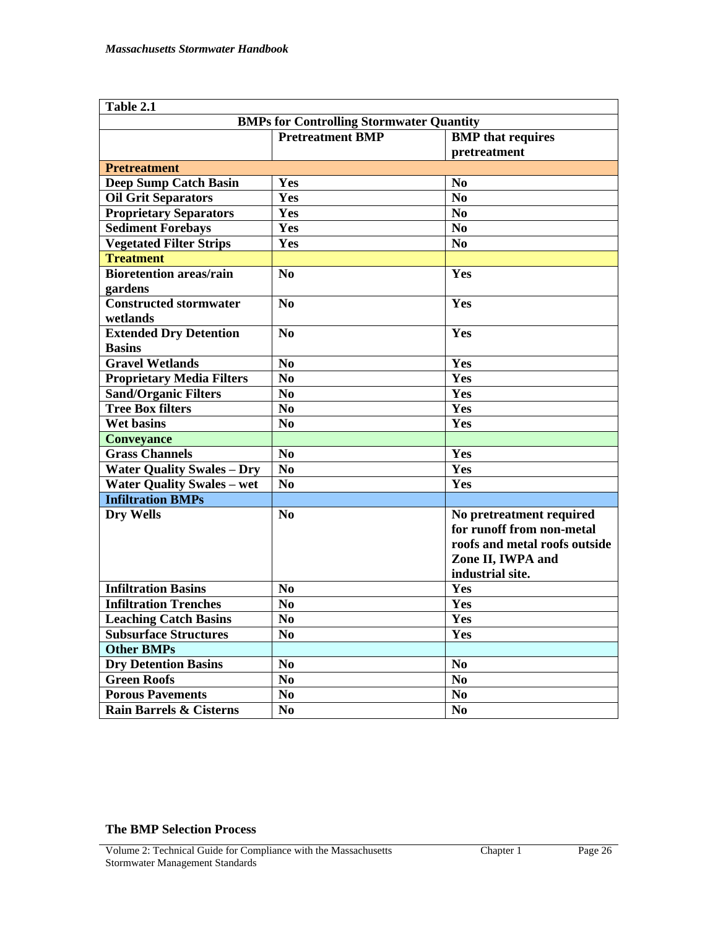| Table 2.1                         |                                                     |                                                                                                                                 |  |
|-----------------------------------|-----------------------------------------------------|---------------------------------------------------------------------------------------------------------------------------------|--|
|                                   | <b>BMPs for Controlling Stormwater Quantity</b>     |                                                                                                                                 |  |
|                                   | <b>Pretreatment BMP</b><br><b>BMP</b> that requires |                                                                                                                                 |  |
|                                   |                                                     | pretreatment                                                                                                                    |  |
| <b>Pretreatment</b>               |                                                     |                                                                                                                                 |  |
| <b>Deep Sump Catch Basin</b>      | Yes                                                 | N <sub>0</sub>                                                                                                                  |  |
| <b>Oil Grit Separators</b>        | Yes                                                 | N <sub>0</sub>                                                                                                                  |  |
| <b>Proprietary Separators</b>     | Yes                                                 | N <sub>0</sub>                                                                                                                  |  |
| <b>Sediment Forebays</b>          | Yes                                                 | N <sub>0</sub>                                                                                                                  |  |
| <b>Vegetated Filter Strips</b>    | Yes                                                 | N <sub>0</sub>                                                                                                                  |  |
| <b>Treatment</b>                  |                                                     |                                                                                                                                 |  |
| <b>Bioretention areas/rain</b>    | No                                                  | Yes                                                                                                                             |  |
| gardens                           |                                                     |                                                                                                                                 |  |
| <b>Constructed stormwater</b>     | No                                                  | Yes                                                                                                                             |  |
| wetlands                          |                                                     |                                                                                                                                 |  |
| <b>Extended Dry Detention</b>     | No                                                  | Yes                                                                                                                             |  |
| <b>Basins</b>                     |                                                     |                                                                                                                                 |  |
| <b>Gravel Wetlands</b>            | N <sub>0</sub>                                      | Yes                                                                                                                             |  |
| <b>Proprietary Media Filters</b>  | N <sub>0</sub>                                      | Yes                                                                                                                             |  |
| <b>Sand/Organic Filters</b>       | N <sub>0</sub>                                      | Yes                                                                                                                             |  |
| <b>Tree Box filters</b>           | N <sub>0</sub>                                      | Yes                                                                                                                             |  |
| <b>Wet basins</b>                 | N <sub>0</sub>                                      | Yes                                                                                                                             |  |
| <b>Conveyance</b>                 |                                                     |                                                                                                                                 |  |
| <b>Grass Channels</b>             | N <sub>0</sub>                                      | Yes                                                                                                                             |  |
| <b>Water Quality Swales - Dry</b> | N <sub>0</sub>                                      | Yes                                                                                                                             |  |
| <b>Water Quality Swales - wet</b> | N <sub>0</sub>                                      | Yes                                                                                                                             |  |
| <b>Infiltration BMPs</b>          |                                                     |                                                                                                                                 |  |
| Dry Wells                         | N <sub>0</sub>                                      | No pretreatment required<br>for runoff from non-metal<br>roofs and metal roofs outside<br>Zone II, IWPA and<br>industrial site. |  |
| <b>Infiltration Basins</b>        | N <sub>0</sub>                                      | Yes                                                                                                                             |  |
| <b>Infiltration Trenches</b>      | N <sub>0</sub>                                      | Yes                                                                                                                             |  |
| <b>Leaching Catch Basins</b>      | N <sub>0</sub>                                      | Yes                                                                                                                             |  |
| <b>Subsurface Structures</b>      | N <sub>0</sub>                                      | Yes                                                                                                                             |  |
| <b>Other BMPs</b>                 |                                                     |                                                                                                                                 |  |
| <b>Dry Detention Basins</b>       | N <sub>0</sub>                                      | N <sub>0</sub>                                                                                                                  |  |
| <b>Green Roofs</b>                | N <sub>0</sub>                                      | N <sub>0</sub>                                                                                                                  |  |
| <b>Porous Pavements</b>           | No.                                                 | $\bf No$                                                                                                                        |  |
| Rain Barrels & Cisterns           | N <sub>0</sub>                                      | N <sub>0</sub>                                                                                                                  |  |

# **The BMP Selection Process**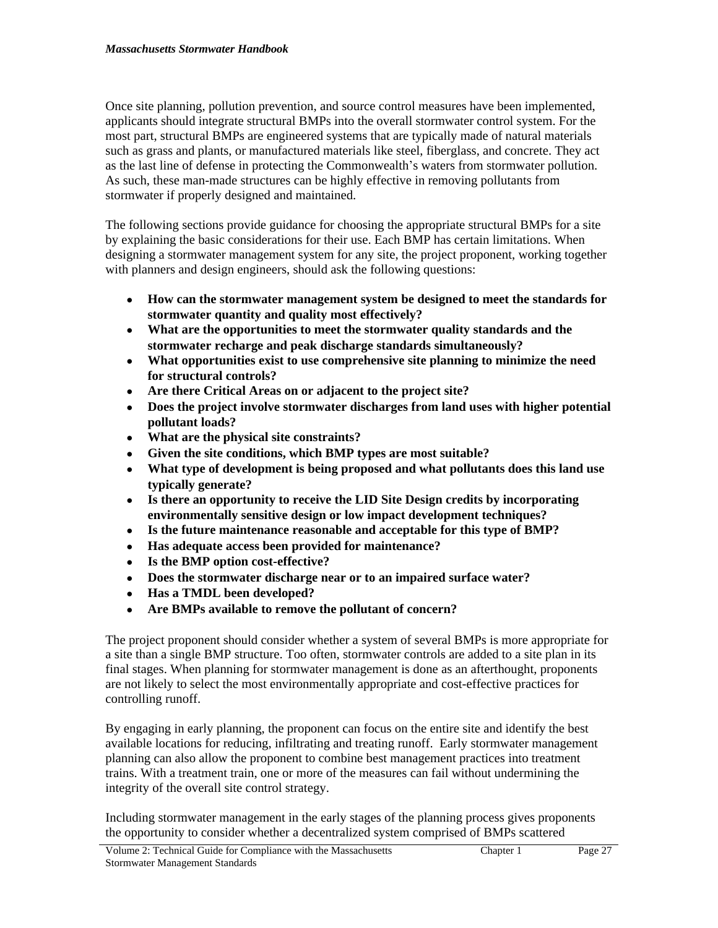Once site planning, pollution prevention, and source control measures have been implemented, applicants should integrate structural BMPs into the overall stormwater control system. For the most part, structural BMPs are engineered systems that are typically made of natural materials such as grass and plants, or manufactured materials like steel, fiberglass, and concrete. They act as the last line of defense in protecting the Commonwealth's waters from stormwater pollution. As such, these man-made structures can be highly effective in removing pollutants from stormwater if properly designed and maintained.

The following sections provide guidance for choosing the appropriate structural BMPs for a site by explaining the basic considerations for their use. Each BMP has certain limitations. When designing a stormwater management system for any site, the project proponent, working together with planners and design engineers, should ask the following questions:

- **How can the stormwater management system be designed to meet the standards for stormwater quantity and quality most effectively?**
- **What are the opportunities to meet the stormwater quality standards and the stormwater recharge and peak discharge standards simultaneously?**
- **What opportunities exist to use comprehensive site planning to minimize the need for structural controls?**
- **Are there Critical Areas on or adjacent to the project site?**
- **Does the project involve stormwater discharges from land uses with higher potential pollutant loads?**
- **What are the physical site constraints?**
- **Given the site conditions, which BMP types are most suitable?**
- **What type of development is being proposed and what pollutants does this land use typically generate?**
- **Is there an opportunity to receive the LID Site Design credits by incorporating environmentally sensitive design or low impact development techniques?**
- **Is the future maintenance reasonable and acceptable for this type of BMP?**
- **Has adequate access been provided for maintenance?**
- **Is the BMP option cost-effective?**
- **Does the stormwater discharge near or to an impaired surface water?**
- **Has a TMDL been developed?**
- **Are BMPs available to remove the pollutant of concern?**

The project proponent should consider whether a system of several BMPs is more appropriate for a site than a single BMP structure. Too often, stormwater controls are added to a site plan in its final stages. When planning for stormwater management is done as an afterthought, proponents are not likely to select the most environmentally appropriate and cost-effective practices for controlling runoff.

By engaging in early planning, the proponent can focus on the entire site and identify the best available locations for reducing, infiltrating and treating runoff. Early stormwater management planning can also allow the proponent to combine best management practices into treatment trains. With a treatment train, one or more of the measures can fail without undermining the integrity of the overall site control strategy.

Including stormwater management in the early stages of the planning process gives proponents the opportunity to consider whether a decentralized system comprised of BMPs scattered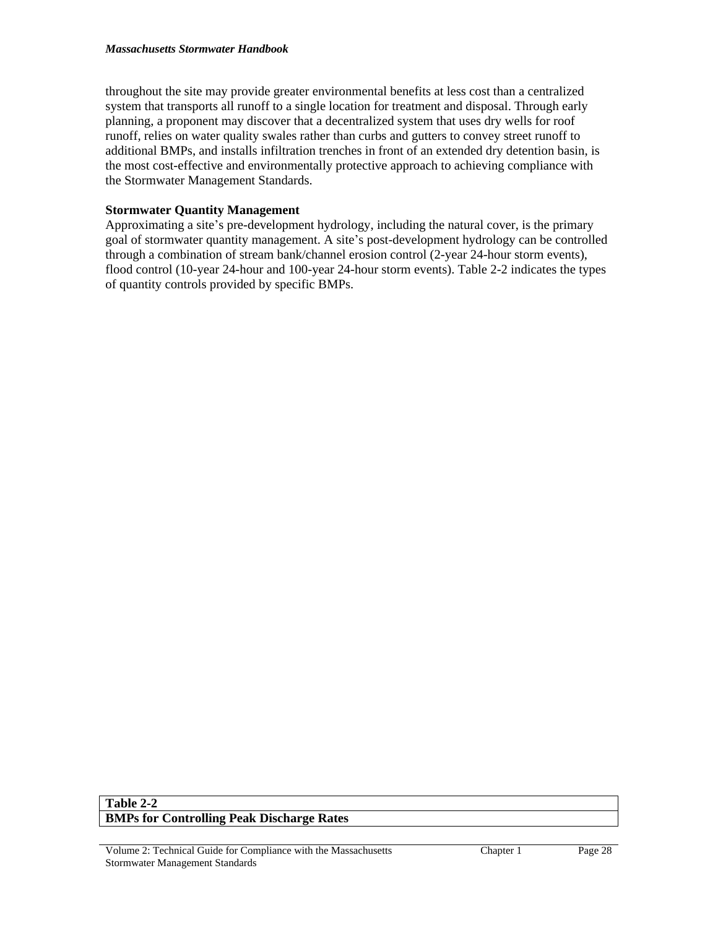throughout the site may provide greater environmental benefits at less cost than a centralized system that transports all runoff to a single location for treatment and disposal. Through early planning, a proponent may discover that a decentralized system that uses dry wells for roof runoff, relies on water quality swales rather than curbs and gutters to convey street runoff to additional BMPs, and installs infiltration trenches in front of an extended dry detention basin, is the most cost-effective and environmentally protective approach to achieving compliance with the Stormwater Management Standards.

# **Stormwater Quantity Management**

Approximating a site's pre-development hydrology, including the natural cover, is the primary goal of stormwater quantity management. A site's post-development hydrology can be controlled through a combination of stream bank/channel erosion control (2-year 24-hour storm events), flood control (10-year 24-hour and 100-year 24-hour storm events). Table 2-2 indicates the types of quantity controls provided by specific BMPs.

## **Table 2-2 BMPs for Controlling Peak Discharge Rates**

Volume 2: Technical Guide for Compliance with the Massachusetts Stormwater Management Standards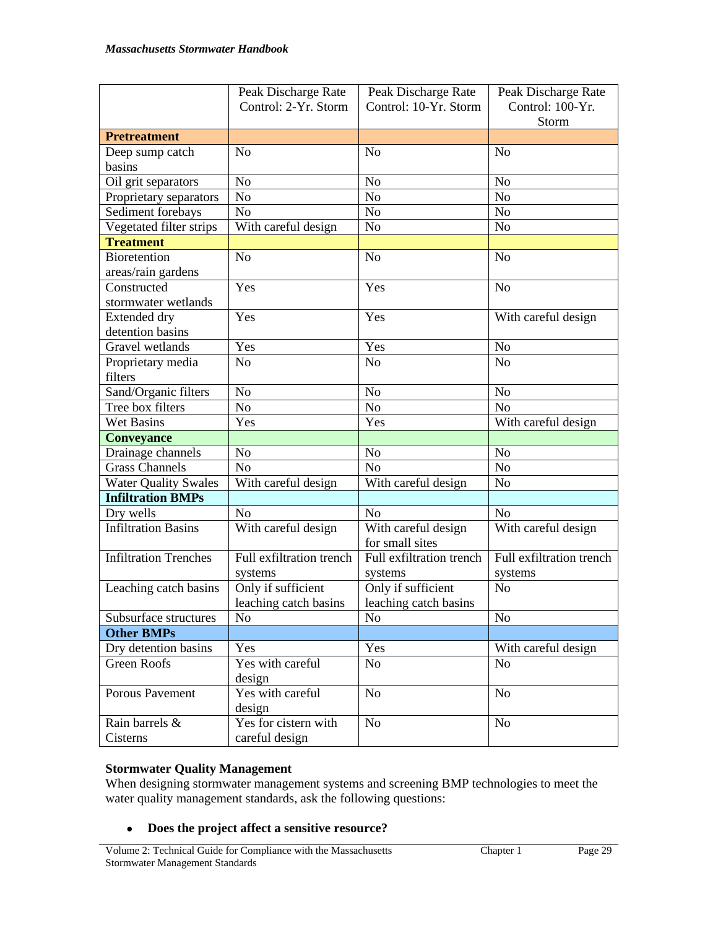|                              | Peak Discharge Rate      | Peak Discharge Rate                   | Peak Discharge Rate      |  |
|------------------------------|--------------------------|---------------------------------------|--------------------------|--|
|                              | Control: 2-Yr. Storm     | Control: 10-Yr. Storm                 | Control: 100-Yr.         |  |
|                              |                          |                                       | Storm                    |  |
| <b>Pretreatment</b>          |                          |                                       |                          |  |
| Deep sump catch              | N <sub>o</sub>           | N <sub>o</sub>                        | No                       |  |
| basins                       |                          |                                       |                          |  |
| Oil grit separators          | N <sub>o</sub>           | N <sub>o</sub>                        | N <sub>o</sub>           |  |
| Proprietary separators       | N <sub>o</sub>           | No                                    | N <sub>o</sub>           |  |
| Sediment forebays            | No                       | N <sub>o</sub>                        | N <sub>o</sub>           |  |
| Vegetated filter strips      | With careful design      | N <sub>o</sub>                        | N <sub>o</sub>           |  |
| <b>Treatment</b>             |                          |                                       |                          |  |
| Bioretention                 | N <sub>o</sub>           | N <sub>o</sub>                        | N <sub>o</sub>           |  |
| areas/rain gardens           |                          |                                       |                          |  |
| Constructed                  | Yes                      | Yes                                   | N <sub>o</sub>           |  |
| stormwater wetlands          |                          |                                       |                          |  |
| Extended dry                 | Yes                      | Yes                                   | With careful design      |  |
| detention basins             |                          |                                       |                          |  |
| Gravel wetlands              | Yes                      | Yes                                   | N <sub>o</sub>           |  |
| Proprietary media            | N <sub>o</sub>           | N <sub>o</sub>                        | N <sub>o</sub>           |  |
| filters                      |                          |                                       |                          |  |
| Sand/Organic filters         | N <sub>o</sub>           | N <sub>o</sub>                        | N <sub>o</sub>           |  |
| Tree box filters             | N <sub>o</sub>           | N <sub>o</sub>                        | N <sub>o</sub>           |  |
| <b>Wet Basins</b><br>Yes     |                          | Yes                                   | With careful design      |  |
| <b>Conveyance</b>            |                          |                                       |                          |  |
| Drainage channels            | N <sub>0</sub>           | N <sub>o</sub>                        | N <sub>o</sub>           |  |
| <b>Grass Channels</b>        | N <sub>o</sub>           | N <sub>o</sub>                        | N <sub>o</sub>           |  |
| <b>Water Quality Swales</b>  | With careful design      | N <sub>o</sub><br>With careful design |                          |  |
| <b>Infiltration BMPs</b>     |                          |                                       |                          |  |
| Dry wells                    | N <sub>o</sub>           | N <sub>o</sub>                        | N <sub>o</sub>           |  |
| <b>Infiltration Basins</b>   | With careful design      | With careful design                   | With careful design      |  |
|                              |                          | for small sites                       |                          |  |
| <b>Infiltration Trenches</b> | Full exfiltration trench | Full exfiltration trench              | Full exfiltration trench |  |
|                              | systems                  | systems                               | systems                  |  |
| Leaching catch basins        | Only if sufficient       | Only if sufficient                    | N <sub>o</sub>           |  |
|                              | leaching catch basins    | leaching catch basins                 |                          |  |
| Subsurface structures        | No                       | N <sub>o</sub>                        | No                       |  |
| <b>Other BMPs</b>            |                          |                                       |                          |  |
| Dry detention basins         | Yes                      | Yes                                   | With careful design      |  |
| Green Roofs                  | Yes with careful         | No                                    | No                       |  |
|                              | design                   |                                       |                          |  |
| Porous Pavement              | Yes with careful         | No                                    | N <sub>o</sub>           |  |
|                              | design                   |                                       |                          |  |
| Rain barrels &               | Yes for cistern with     | <b>No</b>                             | No                       |  |
| Cisterns                     | careful design           |                                       |                          |  |

# **Stormwater Quality Management**

When designing stormwater management systems and screening BMP technologies to meet the water quality management standards, ask the following questions:

**Does the project affect a sensitive resource?**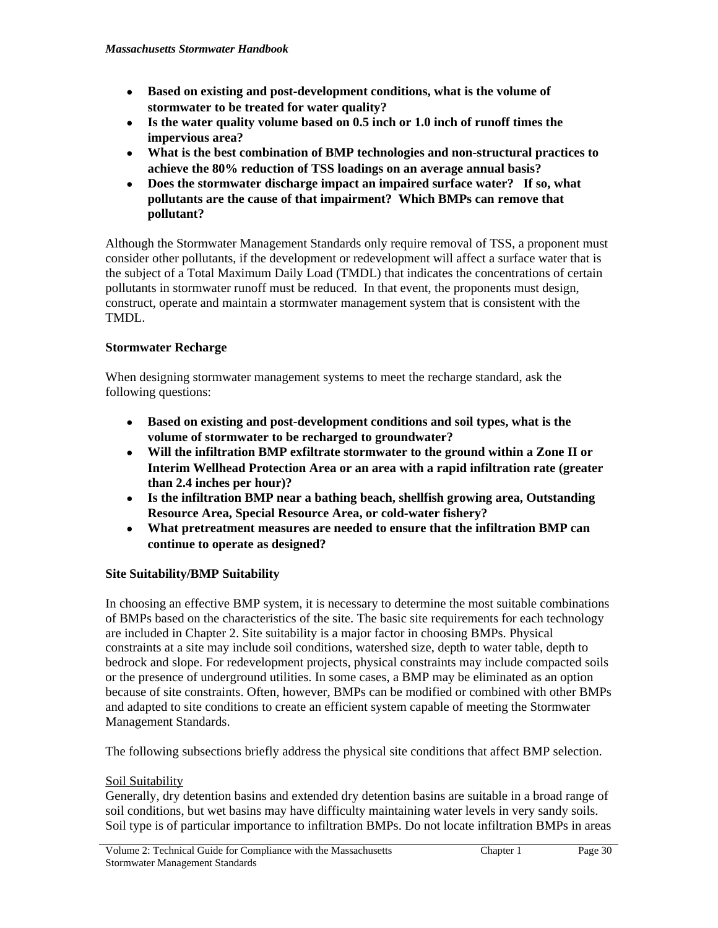- **Based on existing and post-development conditions, what is the volume of stormwater to be treated for water quality?**
- **Is the water quality volume based on 0.5 inch or 1.0 inch of runoff times the impervious area?**
- **What is the best combination of BMP technologies and non-structural practices to achieve the 80% reduction of TSS loadings on an average annual basis?**
- **Does the stormwater discharge impact an impaired surface water? If so, what pollutants are the cause of that impairment? Which BMPs can remove that pollutant?**

Although the Stormwater Management Standards only require removal of TSS, a proponent must consider other pollutants, if the development or redevelopment will affect a surface water that is the subject of a Total Maximum Daily Load (TMDL) that indicates the concentrations of certain pollutants in stormwater runoff must be reduced. In that event, the proponents must design, construct, operate and maintain a stormwater management system that is consistent with the TMDL.

# **Stormwater Recharge**

When designing stormwater management systems to meet the recharge standard, ask the following questions:

- **Based on existing and post-development conditions and soil types, what is the volume of stormwater to be recharged to groundwater?**
- **Will the infiltration BMP exfiltrate stormwater to the ground within a Zone II or Interim Wellhead Protection Area or an area with a rapid infiltration rate (greater than 2.4 inches per hour)?**
- **Is the infiltration BMP near a bathing beach, shellfish growing area, Outstanding Resource Area, Special Resource Area, or cold-water fishery?**
- **What pretreatment measures are needed to ensure that the infiltration BMP can continue to operate as designed?**

# **Site Suitability/BMP Suitability**

In choosing an effective BMP system, it is necessary to determine the most suitable combinations of BMPs based on the characteristics of the site. The basic site requirements for each technology are included in Chapter 2. Site suitability is a major factor in choosing BMPs. Physical constraints at a site may include soil conditions, watershed size, depth to water table, depth to bedrock and slope. For redevelopment projects, physical constraints may include compacted soils or the presence of underground utilities. In some cases, a BMP may be eliminated as an option because of site constraints. Often, however, BMPs can be modified or combined with other BMPs and adapted to site conditions to create an efficient system capable of meeting the Stormwater Management Standards.

The following subsections briefly address the physical site conditions that affect BMP selection.

# Soil Suitability

Generally, dry detention basins and extended dry detention basins are suitable in a broad range of soil conditions, but wet basins may have difficulty maintaining water levels in very sandy soils. Soil type is of particular importance to infiltration BMPs. Do not locate infiltration BMPs in areas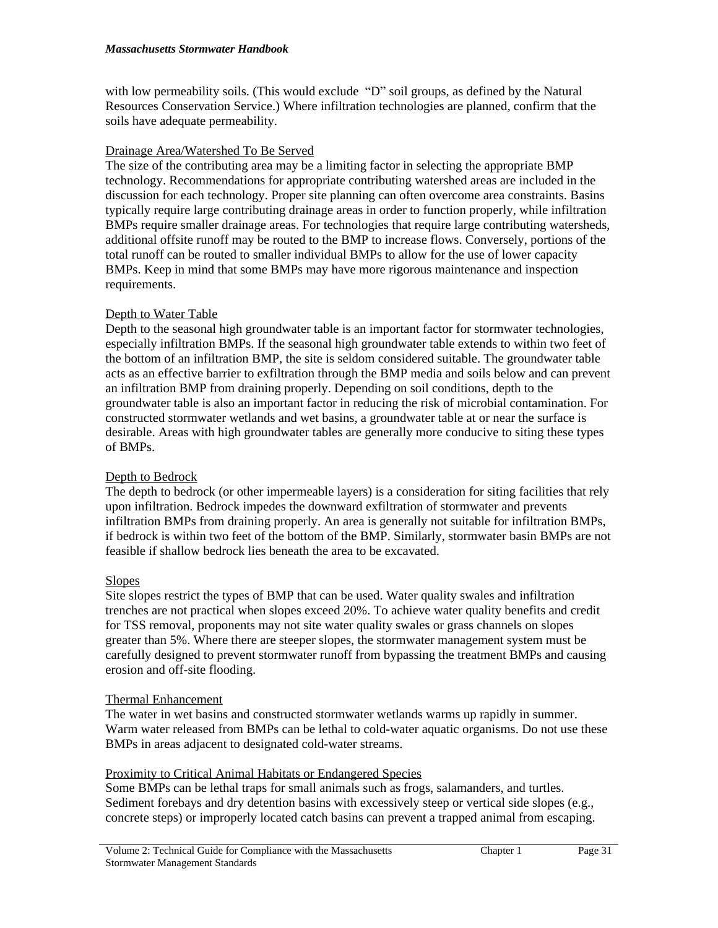with low permeability soils. (This would exclude "D" soil groups, as defined by the Natural Resources Conservation Service.) Where infiltration technologies are planned, confirm that the soils have adequate permeability.

## Drainage Area/Watershed To Be Served

The size of the contributing area may be a limiting factor in selecting the appropriate BMP technology. Recommendations for appropriate contributing watershed areas are included in the discussion for each technology. Proper site planning can often overcome area constraints. Basins typically require large contributing drainage areas in order to function properly, while infiltration BMPs require smaller drainage areas. For technologies that require large contributing watersheds, additional offsite runoff may be routed to the BMP to increase flows. Conversely, portions of the total runoff can be routed to smaller individual BMPs to allow for the use of lower capacity BMPs. Keep in mind that some BMPs may have more rigorous maintenance and inspection requirements.

# Depth to Water Table

Depth to the seasonal high groundwater table is an important factor for stormwater technologies, especially infiltration BMPs. If the seasonal high groundwater table extends to within two feet of the bottom of an infiltration BMP, the site is seldom considered suitable. The groundwater table acts as an effective barrier to exfiltration through the BMP media and soils below and can prevent an infiltration BMP from draining properly. Depending on soil conditions, depth to the groundwater table is also an important factor in reducing the risk of microbial contamination. For constructed stormwater wetlands and wet basins, a groundwater table at or near the surface is desirable. Areas with high groundwater tables are generally more conducive to siting these types of BMPs.

# Depth to Bedrock

The depth to bedrock (or other impermeable layers) is a consideration for siting facilities that rely upon infiltration. Bedrock impedes the downward exfiltration of stormwater and prevents infiltration BMPs from draining properly. An area is generally not suitable for infiltration BMPs, if bedrock is within two feet of the bottom of the BMP. Similarly, stormwater basin BMPs are not feasible if shallow bedrock lies beneath the area to be excavated.

# **Slopes**

Site slopes restrict the types of BMP that can be used. Water quality swales and infiltration trenches are not practical when slopes exceed 20%. To achieve water quality benefits and credit for TSS removal, proponents may not site water quality swales or grass channels on slopes greater than 5%. Where there are steeper slopes, the stormwater management system must be carefully designed to prevent stormwater runoff from bypassing the treatment BMPs and causing erosion and off-site flooding.

### Thermal Enhancement

The water in wet basins and constructed stormwater wetlands warms up rapidly in summer. Warm water released from BMPs can be lethal to cold-water aquatic organisms. Do not use these BMPs in areas adjacent to designated cold-water streams.

### Proximity to Critical Animal Habitats or Endangered Species

Some BMPs can be lethal traps for small animals such as frogs, salamanders, and turtles. Sediment forebays and dry detention basins with excessively steep or vertical side slopes (e.g., concrete steps) or improperly located catch basins can prevent a trapped animal from escaping.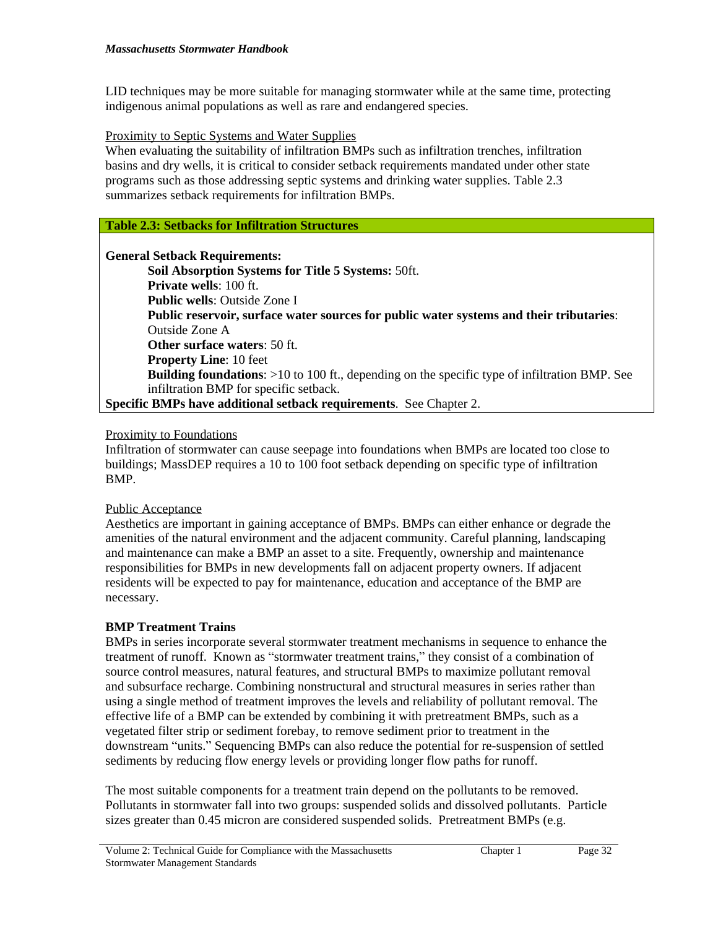LID techniques may be more suitable for managing stormwater while at the same time, protecting indigenous animal populations as well as rare and endangered species.

### Proximity to Septic Systems and Water Supplies

When evaluating the suitability of infiltration BMPs such as infiltration trenches, infiltration basins and dry wells, it is critical to consider setback requirements mandated under other state programs such as those addressing septic systems and drinking water supplies. Table 2.3 summarizes setback requirements for infiltration BMPs.

### **Table 2.3: Setbacks for Infiltration Structures**

**General Setback Requirements:**

**Soil Absorption Systems for Title 5 Systems:** 50ft. **Private wells**: 100 ft. **Public wells**: Outside Zone I **Public reservoir, surface water sources for public water systems and their tributaries**: Outside Zone A **Other surface waters**: 50 ft. **Property Line**: 10 feet **Building foundations**: >10 to 100 ft., depending on the specific type of infiltration BMP. See infiltration BMP for specific setback. **Specific BMPs have additional setback requirements**. See Chapter 2.

#### Proximity to Foundations

Infiltration of stormwater can cause seepage into foundations when BMPs are located too close to buildings; MassDEP requires a 10 to 100 foot setback depending on specific type of infiltration BMP.

#### Public Acceptance

Aesthetics are important in gaining acceptance of BMPs. BMPs can either enhance or degrade the amenities of the natural environment and the adjacent community. Careful planning, landscaping and maintenance can make a BMP an asset to a site. Frequently, ownership and maintenance responsibilities for BMPs in new developments fall on adjacent property owners. If adjacent residents will be expected to pay for maintenance, education and acceptance of the BMP are necessary.

### **BMP Treatment Trains**

BMPs in series incorporate several stormwater treatment mechanisms in sequence to enhance the treatment of runoff. Known as "stormwater treatment trains," they consist of a combination of source control measures, natural features, and structural BMPs to maximize pollutant removal and subsurface recharge. Combining nonstructural and structural measures in series rather than using a single method of treatment improves the levels and reliability of pollutant removal. The effective life of a BMP can be extended by combining it with pretreatment BMPs, such as a vegetated filter strip or sediment forebay, to remove sediment prior to treatment in the downstream "units." Sequencing BMPs can also reduce the potential for re-suspension of settled sediments by reducing flow energy levels or providing longer flow paths for runoff.

The most suitable components for a treatment train depend on the pollutants to be removed. Pollutants in stormwater fall into two groups: suspended solids and dissolved pollutants. Particle sizes greater than 0.45 micron are considered suspended solids. Pretreatment BMPs (e.g.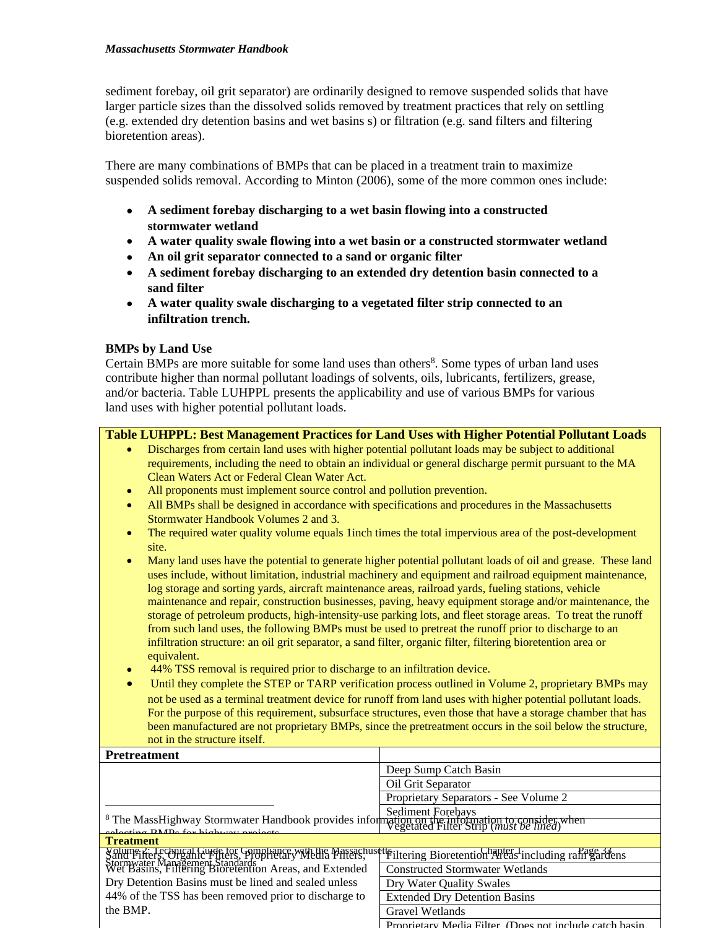#### *Massachusetts Stormwater Handbook*

sediment forebay, oil grit separator) are ordinarily designed to remove suspended solids that have larger particle sizes than the dissolved solids removed by treatment practices that rely on settling (e.g. extended dry detention basins and wet basins s) or filtration (e.g. sand filters and filtering bioretention areas).

There are many combinations of BMPs that can be placed in a treatment train to maximize suspended solids removal. According to Minton (2006), some of the more common ones include:

- **A sediment forebay discharging to a wet basin flowing into a constructed stormwater wetland**
- **A water quality swale flowing into a wet basin or a constructed stormwater wetland**
- **An oil grit separator connected to a sand or organic filter**
- **A sediment forebay discharging to an extended dry detention basin connected to a sand filter**
- **A water quality swale discharging to a vegetated filter strip connected to an infiltration trench.**

### **BMPs by Land Use**

Certain BMPs are more suitable for some land uses than others<sup>8</sup>. Some types of urban land uses contribute higher than normal pollutant loadings of solvents, oils, lubricants, fertilizers, grease, and/or bacteria. Table LUHPPL presents the applicability and use of various BMPs for various land uses with higher potential pollutant loads.

## **Table LUHPPL: Best Management Practices for Land Uses with Higher Potential Pollutant Loads**

- Discharges from certain land uses with higher potential pollutant loads may be subject to additional requirements, including the need to obtain an individual or general discharge permit pursuant to the MA Clean Waters Act or Federal Clean Water Act.
- All proponents must implement source control and pollution prevention.
- All BMPs shall be designed in accordance with specifications and procedures in the Massachusetts Stormwater Handbook Volumes 2 and 3.
- The required water quality volume equals 1 inch times the total impervious area of the post-development site.
- Many land uses have the potential to generate higher potential pollutant loads of oil and grease. These land uses include, without limitation, industrial machinery and equipment and railroad equipment maintenance, log storage and sorting yards, aircraft maintenance areas, railroad yards, fueling stations, vehicle maintenance and repair, construction businesses, paving, heavy equipment storage and/or maintenance, the storage of petroleum products, high-intensity-use parking lots, and fleet storage areas. To treat the runoff from such land uses, the following BMPs must be used to pretreat the runoff prior to discharge to an infiltration structure: an oil grit separator, a sand filter, organic filter, filtering bioretention area or equivalent.
- 44% TSS removal is required prior to discharge to an infiltration device.
- Until they complete the STEP or TARP verification process outlined in Volume 2, proprietary BMPs may not be used as a terminal treatment device for runoff from land uses with higher potential pollutant loads. For the purpose of this requirement, subsurface structures, even those that have a storage chamber that has been manufactured are not proprietary BMPs, since the pretreatment occurs in the soil below the structure, not in the structure itself.

| <b>Pretreatment</b>                                                                                                                                                                                                                  |                                                        |  |
|--------------------------------------------------------------------------------------------------------------------------------------------------------------------------------------------------------------------------------------|--------------------------------------------------------|--|
|                                                                                                                                                                                                                                      | Deep Sump Catch Basin                                  |  |
|                                                                                                                                                                                                                                      | Oil Grit Separator                                     |  |
|                                                                                                                                                                                                                                      | Proprietary Separators - See Volume 2                  |  |
| <sup>8</sup> The MassHighway Stormwater Handbook provides information on the information to consider when<br>Process information on the information to consider when<br>Negetated Filter Strip ( <i>must be lined</i> )              |                                                        |  |
| cologing <b>DMD</b> <sub>e</sub> for highway projects<br><b>Treatment</b>                                                                                                                                                            |                                                        |  |
| Solumer: Helecongal Guide tor Guideline are Maria Marsachusette illusing Bioretention Areas including range 34<br>Stormwater Mangement Standards<br>Wet Basins, Filtering Bioretention Areas, and Extended Constructed Stormwater We |                                                        |  |
|                                                                                                                                                                                                                                      |                                                        |  |
| Dry Detention Basins must be lined and sealed unless                                                                                                                                                                                 | Dry Water Quality Swales                               |  |
| 44% of the TSS has been removed prior to discharge to                                                                                                                                                                                | <b>Extended Dry Detention Basins</b>                   |  |
| the BMP.                                                                                                                                                                                                                             | Gravel Wetlands                                        |  |
|                                                                                                                                                                                                                                      | Proprietary Media Filter (Does not include catch basin |  |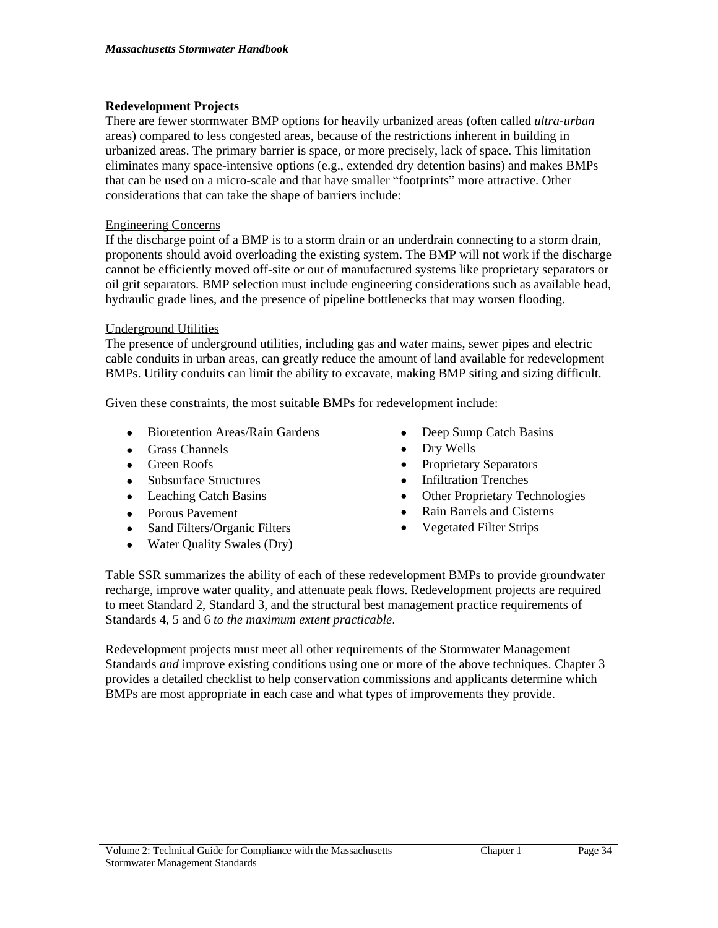# **Redevelopment Projects**

There are fewer stormwater BMP options for heavily urbanized areas (often called *ultra-urban*  areas) compared to less congested areas, because of the restrictions inherent in building in urbanized areas. The primary barrier is space, or more precisely, lack of space. This limitation eliminates many space-intensive options (e.g., extended dry detention basins) and makes BMPs that can be used on a micro-scale and that have smaller "footprints" more attractive. Other considerations that can take the shape of barriers include:

## Engineering Concerns

If the discharge point of a BMP is to a storm drain or an underdrain connecting to a storm drain, proponents should avoid overloading the existing system. The BMP will not work if the discharge cannot be efficiently moved off-site or out of manufactured systems like proprietary separators or oil grit separators. BMP selection must include engineering considerations such as available head, hydraulic grade lines, and the presence of pipeline bottlenecks that may worsen flooding.

## Underground Utilities

The presence of underground utilities, including gas and water mains, sewer pipes and electric cable conduits in urban areas, can greatly reduce the amount of land available for redevelopment BMPs. Utility conduits can limit the ability to excavate, making BMP siting and sizing difficult.

Given these constraints, the most suitable BMPs for redevelopment include:

- Bioretention Areas/Rain Gardens
- Grass Channels
- Green Roofs
- Subsurface Structures
- Leaching Catch Basins
- Porous Pavement
- Sand Filters/Organic Filters
- Water Quality Swales (Dry)
- Deep Sump Catch Basins
- Dry Wells
- Proprietary Separators
- Infiltration Trenches
- Other Proprietary Technologies
- Rain Barrels and Cisterns
- Vegetated Filter Strips

Table SSR summarizes the ability of each of these redevelopment BMPs to provide groundwater recharge, improve water quality, and attenuate peak flows. Redevelopment projects are required to meet Standard 2, Standard 3, and the structural best management practice requirements of Standards 4, 5 and 6 *to the maximum extent practicable*.

Redevelopment projects must meet all other requirements of the Stormwater Management Standards *and* improve existing conditions using one or more of the above techniques. Chapter 3 provides a detailed checklist to help conservation commissions and applicants determine which BMPs are most appropriate in each case and what types of improvements they provide.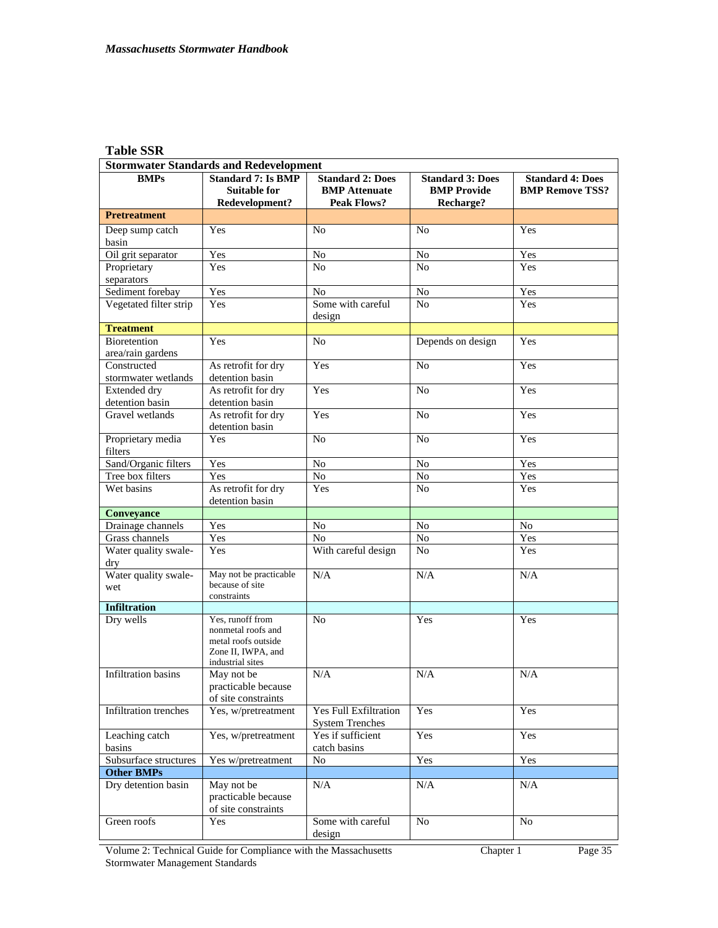# **Table SSR**

| <b>Stormwater Standards and Redevelopment</b> |                                                                                                         |                                                                       |                                                            |                                                   |
|-----------------------------------------------|---------------------------------------------------------------------------------------------------------|-----------------------------------------------------------------------|------------------------------------------------------------|---------------------------------------------------|
| <b>BMPs</b>                                   | <b>Standard 7: Is BMP</b><br><b>Suitable for</b><br>Redevelopment?                                      | <b>Standard 2: Does</b><br><b>BMP</b> Attenuate<br><b>Peak Flows?</b> | <b>Standard 3: Does</b><br><b>BMP Provide</b><br>Recharge? | <b>Standard 4: Does</b><br><b>BMP Remove TSS?</b> |
| <b>Pretreatment</b>                           |                                                                                                         |                                                                       |                                                            |                                                   |
| Deep sump catch<br>basin                      | Yes                                                                                                     | N <sub>o</sub>                                                        | N <sub>0</sub>                                             | Yes                                               |
| Oil grit separator                            | Yes                                                                                                     | N <sub>o</sub>                                                        | N <sub>o</sub>                                             | Yes                                               |
| Proprietary<br>separators                     | Yes                                                                                                     | No                                                                    | No                                                         | Yes                                               |
| Sediment forebay                              | Yes                                                                                                     | N <sub>o</sub>                                                        | $\rm No$                                                   | Yes                                               |
| Vegetated filter strip                        | Yes                                                                                                     | Some with careful                                                     | N <sub>o</sub>                                             | Yes                                               |
| <b>Treatment</b>                              |                                                                                                         | design                                                                |                                                            |                                                   |
| Bioretention                                  | Yes                                                                                                     | No                                                                    | Depends on design                                          | Yes                                               |
| area/rain gardens                             |                                                                                                         |                                                                       |                                                            |                                                   |
| Constructed<br>stormwater wetlands            | As retrofit for dry<br>detention basin                                                                  | Yes                                                                   | N <sub>o</sub>                                             | Yes                                               |
| Extended dry                                  | As retrofit for dry                                                                                     | Yes                                                                   | N <sub>o</sub>                                             | Yes                                               |
| detention basin<br>Gravel wetlands            | detention basin<br>As retrofit for dry                                                                  | Yes                                                                   | N <sub>o</sub>                                             | Yes                                               |
|                                               | detention basin                                                                                         |                                                                       |                                                            |                                                   |
| Proprietary media<br>filters                  | Yes                                                                                                     | No                                                                    | N <sub>o</sub>                                             | Yes                                               |
| Sand/Organic filters                          | Yes                                                                                                     | No                                                                    | No                                                         | Yes                                               |
| Tree box filters                              | Yes                                                                                                     | $\rm No$                                                              | No                                                         | Yes                                               |
| Wet basins                                    | As retrofit for dry<br>detention basin                                                                  | Yes                                                                   | N <sub>o</sub>                                             | Yes                                               |
| Conveyance                                    |                                                                                                         |                                                                       |                                                            |                                                   |
| Drainage channels                             | Yes                                                                                                     | No                                                                    | No                                                         | No                                                |
| Grass channels                                | Yes                                                                                                     | No                                                                    | No                                                         | Yes                                               |
| Water quality swale-<br>dry                   | Yes                                                                                                     | With careful design                                                   | N <sub>o</sub>                                             | Yes                                               |
| Water quality swale-<br>wet                   | May not be practicable<br>because of site<br>constraints                                                | N/A                                                                   | N/A                                                        | N/A                                               |
| <b>Infiltration</b>                           |                                                                                                         |                                                                       |                                                            |                                                   |
| Dry wells                                     | Yes, runoff from<br>nonmetal roofs and<br>metal roofs outside<br>Zone II, IWPA, and<br>industrial sites | No                                                                    | Yes                                                        | Yes                                               |
| Infiltration basins                           | May not be<br>practicable because<br>of site constraints                                                | N/A                                                                   | N/A                                                        | N/A                                               |
| Infiltration trenches                         | Yes, w/pretreatment                                                                                     | <b>Yes Full Exfiltration</b><br><b>System Trenches</b>                | Yes                                                        | Yes                                               |
| Leaching catch<br>basins                      | Yes, w/pretreatment                                                                                     | Yes if sufficient<br>catch basins                                     | Yes                                                        | Yes                                               |
| Subsurface structures                         | Yes w/pretreatment                                                                                      | No                                                                    | Yes                                                        | Yes                                               |
| <b>Other BMPs</b>                             |                                                                                                         |                                                                       |                                                            |                                                   |
| Dry detention basin                           | May not be<br>practicable because<br>of site constraints                                                | N/A                                                                   | N/A                                                        | N/A                                               |
| Green roofs                                   | Yes                                                                                                     | Some with careful<br>design                                           | No                                                         | No                                                |

Volume 2: Technical Guide for Compliance with the Massachusetts Stormwater Management Standards Chapter 1 Page 35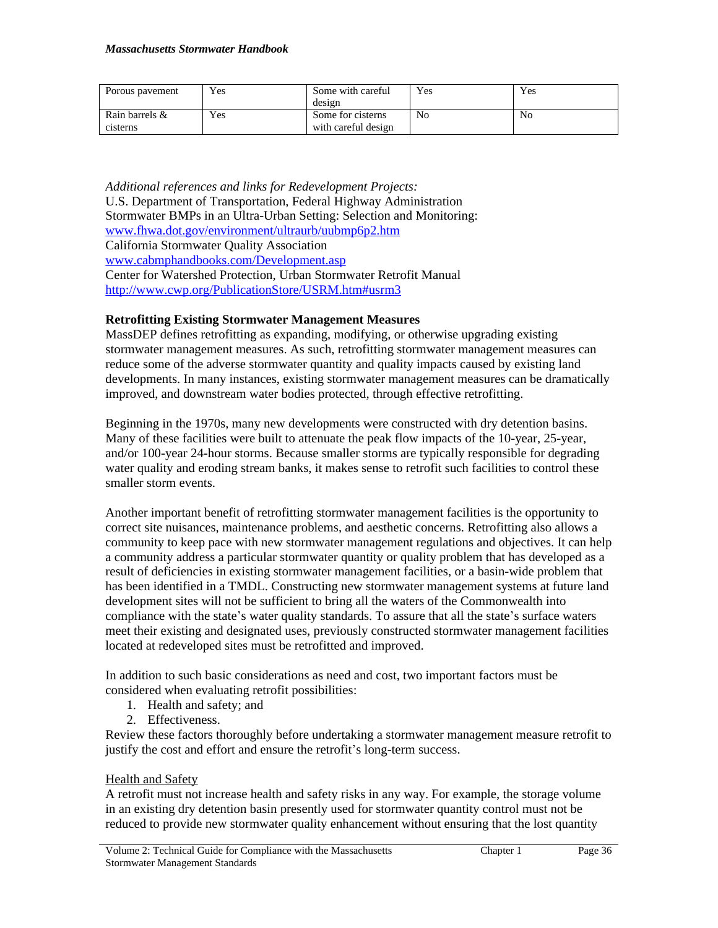| Porous payement | Yes | Some with careful   | Yes | Yes |
|-----------------|-----|---------------------|-----|-----|
|                 |     | design              |     |     |
| Rain barrels &  | Yes | Some for cisterns   | No  | No  |
| cisterns        |     | with careful design |     |     |

*Additional references and links for Redevelopment Projects:* U.S. Department of Transportation, Federal Highway Administration Stormwater BMPs in an Ultra-Urban Setting: Selection and Monitoring: [www.fhwa.dot.gov/environment/ultraurb/uubmp6p2.htm](http://www.fhwa.dot.gov/environment/ultraurb/uubmp6p2.htm) California Stormwater Quality Association [www.cabmphandbooks.com/Development.asp](http://www.cabmphandbooks.com/Development.asp) Center for Watershed Protection, Urban Stormwater Retrofit Manual <http://www.cwp.org/PublicationStore/USRM.htm#usrm3>

## **Retrofitting Existing Stormwater Management Measures**

MassDEP defines retrofitting as expanding, modifying, or otherwise upgrading existing stormwater management measures. As such, retrofitting stormwater management measures can reduce some of the adverse stormwater quantity and quality impacts caused by existing land developments. In many instances, existing stormwater management measures can be dramatically improved, and downstream water bodies protected, through effective retrofitting.

Beginning in the 1970s, many new developments were constructed with dry detention basins. Many of these facilities were built to attenuate the peak flow impacts of the 10-year, 25-year, and/or 100-year 24-hour storms. Because smaller storms are typically responsible for degrading water quality and eroding stream banks, it makes sense to retrofit such facilities to control these smaller storm events.

Another important benefit of retrofitting stormwater management facilities is the opportunity to correct site nuisances, maintenance problems, and aesthetic concerns. Retrofitting also allows a community to keep pace with new stormwater management regulations and objectives. It can help a community address a particular stormwater quantity or quality problem that has developed as a result of deficiencies in existing stormwater management facilities, or a basin-wide problem that has been identified in a TMDL. Constructing new stormwater management systems at future land development sites will not be sufficient to bring all the waters of the Commonwealth into compliance with the state's water quality standards. To assure that all the state's surface waters meet their existing and designated uses, previously constructed stormwater management facilities located at redeveloped sites must be retrofitted and improved.

In addition to such basic considerations as need and cost, two important factors must be considered when evaluating retrofit possibilities:

- 1. Health and safety; and
- 2. Effectiveness.

Review these factors thoroughly before undertaking a stormwater management measure retrofit to justify the cost and effort and ensure the retrofit's long-term success.

### Health and Safety

A retrofit must not increase health and safety risks in any way. For example, the storage volume in an existing dry detention basin presently used for stormwater quantity control must not be reduced to provide new stormwater quality enhancement without ensuring that the lost quantity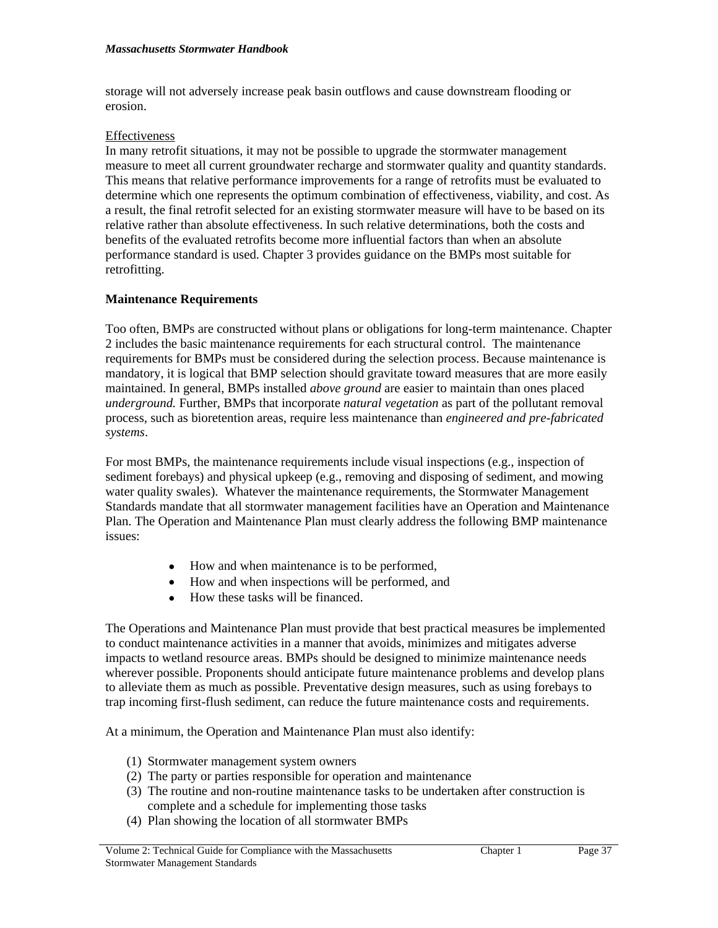storage will not adversely increase peak basin outflows and cause downstream flooding or erosion.

### Effectiveness

In many retrofit situations, it may not be possible to upgrade the stormwater management measure to meet all current groundwater recharge and stormwater quality and quantity standards. This means that relative performance improvements for a range of retrofits must be evaluated to determine which one represents the optimum combination of effectiveness, viability, and cost. As a result, the final retrofit selected for an existing stormwater measure will have to be based on its relative rather than absolute effectiveness. In such relative determinations, both the costs and benefits of the evaluated retrofits become more influential factors than when an absolute performance standard is used. Chapter 3 provides guidance on the BMPs most suitable for retrofitting.

# **Maintenance Requirements**

Too often, BMPs are constructed without plans or obligations for long-term maintenance. Chapter 2 includes the basic maintenance requirements for each structural control. The maintenance requirements for BMPs must be considered during the selection process. Because maintenance is mandatory, it is logical that BMP selection should gravitate toward measures that are more easily maintained. In general, BMPs installed *above ground* are easier to maintain than ones placed *underground.* Further, BMPs that incorporate *natural vegetation* as part of the pollutant removal process, such as bioretention areas, require less maintenance than *engineered and pre-fabricated systems*.

For most BMPs, the maintenance requirements include visual inspections (e.g., inspection of sediment forebays) and physical upkeep (e.g., removing and disposing of sediment, and mowing water quality swales). Whatever the maintenance requirements, the Stormwater Management Standards mandate that all stormwater management facilities have an Operation and Maintenance Plan. The Operation and Maintenance Plan must clearly address the following BMP maintenance issues:

- How and when maintenance is to be performed,
- How and when inspections will be performed, and
- How these tasks will be financed.

The Operations and Maintenance Plan must provide that best practical measures be implemented to conduct maintenance activities in a manner that avoids, minimizes and mitigates adverse impacts to wetland resource areas. BMPs should be designed to minimize maintenance needs wherever possible. Proponents should anticipate future maintenance problems and develop plans to alleviate them as much as possible. Preventative design measures, such as using forebays to trap incoming first-flush sediment, can reduce the future maintenance costs and requirements.

At a minimum, the Operation and Maintenance Plan must also identify:

- (1) Stormwater management system owners
- (2) The party or parties responsible for operation and maintenance
- (3) The routine and non-routine maintenance tasks to be undertaken after construction is complete and a schedule for implementing those tasks
- (4) Plan showing the location of all stormwater BMPs